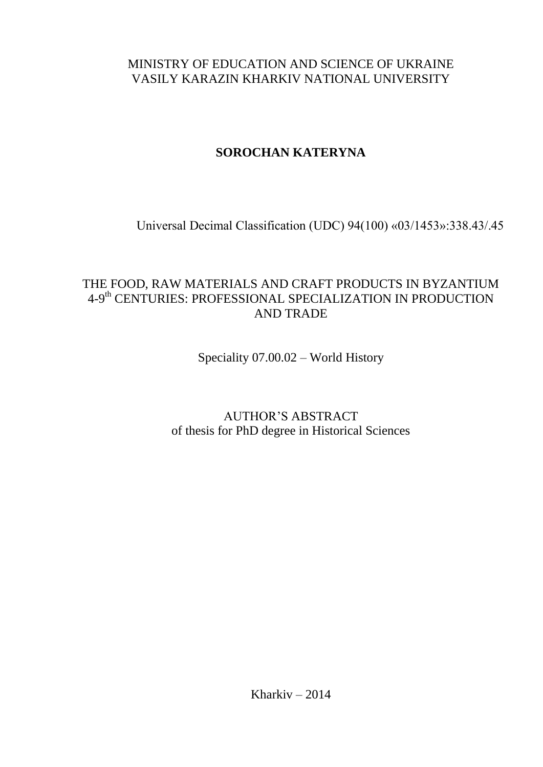## MINISTRY OF EDUCATION AND SCIENCE OF UKRAINE VASILY KARAZIN KHARKIV NATIONAL UNIVERSITY

# **SOROCHAN KATERYNA**

Universal Decimal Classification (UDC) 94(100) «03/1453»:338.43/.45

# THE FOOD, RAW MATERIALS AND CRAFT PRODUCTS IN BYZANTIUM 4-9th CENTURIES: PROFESSIONAL SPECIALIZATION IN PRODUCTION AND TRADE

Speciality 07.00.02 – World History

AUTHOR'S ABSTRACT of thesis for PhD degree in Historical Sciences

Kharkiv – 2014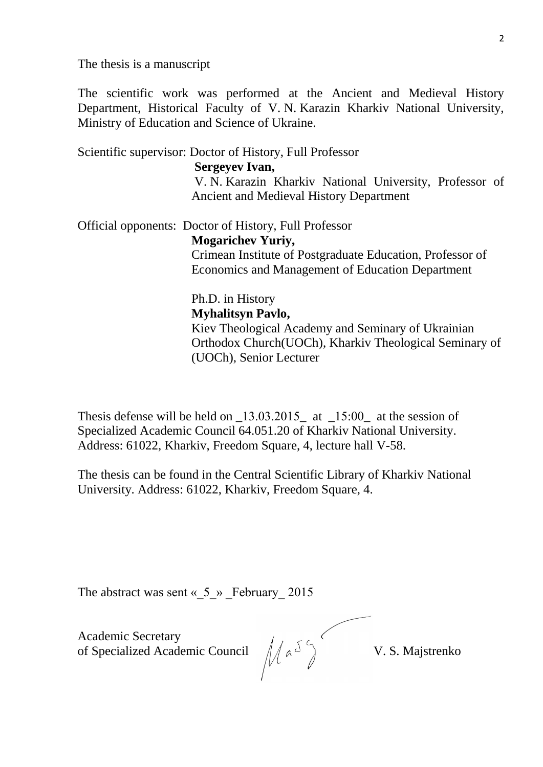The thesis is a manuscript

The scientific work was performed at the Ancient and Medieval History Department, Historical Faculty of V. N. Karazin Kharkiv National University, Ministry of Education and Science of Ukraine.

Scientific supervisor: Doctor of History, Full Professor  **Sergeyev Ivan,**  V. N. Karazin Kharkiv National University, Professor of Ancient and Medieval History Department

Official opponents: Doctor of History, Full Professor

**Mogarichev Yuriy,** 

Crimean Institute of Postgraduate Education, Professor of Economics and Management of Education Department

Ph.D. in History

#### **Myhalitsyn Pavlo,**

Kiev Theological Academy and Seminary of Ukrainian Orthodox Church(UOCh), Kharkiv Theological Seminary of (UOCh), Senior Lecturer

Thesis defense will be held on  $\text{\_}13.03.2015$  at  $\text{\_}15.00$  at the session of Specialized Academic Council 64.051.20 of Kharkiv National University. Address: 61022, Kharkiv, Freedom Square, 4, lecture hall V-58.

The thesis can be found in the Central Scientific Library of Kharkiv National University. Address: 61022, Kharkiv, Freedom Square, 4.

The abstract was sent  $\langle 5 \rangle$  February 2015

Academic Secretary of Specialized Academic Council  $\|\phi\|_{\alpha}$ <sup> $\triangle$ </sup>) V. S. Majstrenko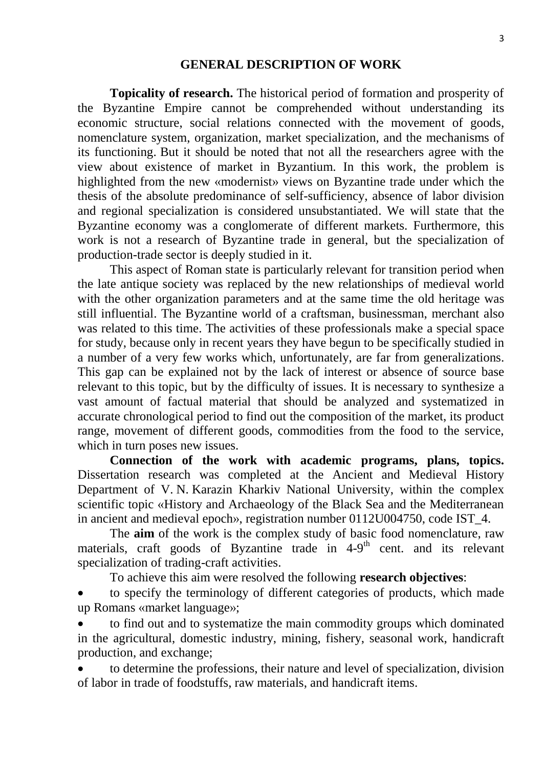#### **GENERAL DESCRIPTION OF WORK**

**Topicality of research.** The historical period of formation and prosperity of the Byzantine Empire cannot be comprehended without understanding its economic structure, social relations connected with the movement of goods, nomenclature system, organization, market specialization, and the mechanisms of its functioning. But it should be noted that not all the researchers agree with the view about existence of market in Byzantium. In this work, the problem is highlighted from the new «modernist» views on Byzantine trade under which the thesis of the absolute predominance of self-sufficiency, absence of labor division and regional specialization is considered unsubstantiated. We will state that the Byzantine economy was a conglomerate of different markets. Furthermore, this work is not a research of Byzantine trade in general, but the specialization of production-trade sector is deeply studied in it.

This aspect of Roman state is particularly relevant for transition period when the late antique society was replaced by the new relationships of medieval world with the other organization parameters and at the same time the old heritage was still influential. The Byzantine world of a craftsman, businessman, merchant also was related to this time. The activities of these professionals make a special space for study, because only in recent years they have begun to be specifically studied in a number of a very few works which, unfortunately, are far from generalizations. This gap can be explained not by the lack of interest or absence of source base relevant to this topic, but by the difficulty of issues. It is necessary to synthesize a vast amount of factual material that should be analyzed and systematized in accurate chronological period to find out the composition of the market, its product range, movement of different goods, commodities from the food to the service, which in turn poses new issues.

**Connection of the work with academic programs, plans, topics.** Dissertation research was completed at the Ancient and Medieval History Department of V. N. Karazin Kharkiv National University, within the complex scientific topic «History and Archaeology of the Black Sea and the Mediterranean in ancient and medieval epoch», registration number 0112U004750, code IST\_4.

The **aim** of the work is the complex study of basic food nomenclature, raw materials, craft goods of Byzantine trade in 4-9<sup>th</sup> cent. and its relevant specialization of trading-craft activities.

To achieve this aim were resolved the following **research objectives**:

 to specify the terminology of different categories of products, which made up Romans «market language»;

 to find out and to systematize the main commodity groups which dominated in the agricultural, domestic industry, mining, fishery, seasonal work, handicraft production, and exchange;

 to determine the professions, their nature and level of specialization, division of labor in trade of foodstuffs, raw materials, and handicraft items.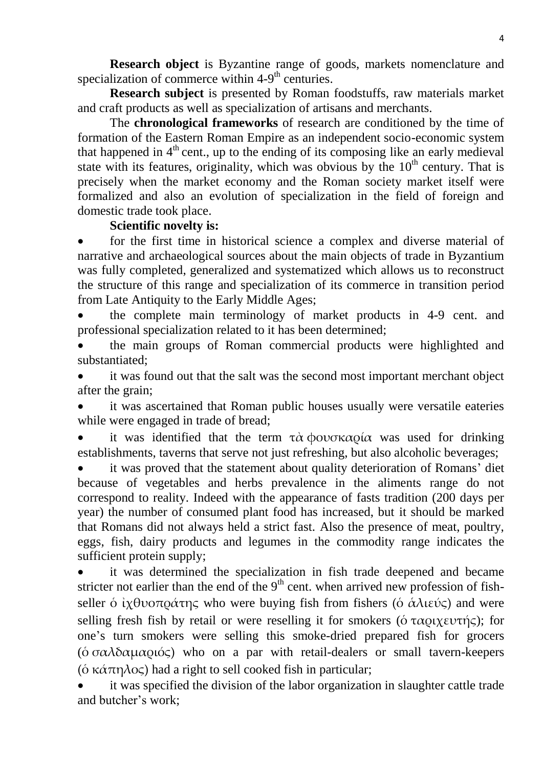**Research object** is Byzantine range of goods, markets nomenclature and specialization of commerce within 4-9<sup>th</sup> centuries.

**Research subject** is presented by Roman foodstuffs, raw materials market and craft products as well as specialization of artisans and merchants.

The **chronological frameworks** of research are conditioned by the time of formation of the Eastern Roman Empire as an independent socio-economic system that happened in 4<sup>th</sup> cent., up to the ending of its composing like an early medieval state with its features, originality, which was obvious by the  $10<sup>th</sup>$  century. That is precisely when the market economy and the Roman society market itself were formalized and also an evolution of specialization in the field of foreign and domestic trade took place.

#### **Scientific novelty is:**

 for the first time in historical science a complex and diverse material of narrative and archaeological sources about the main objects of trade in Byzantium was fully completed, generalized and systematized which allows us to reconstruct the structure of this range and specialization of its commerce in transition period from Late Antiquity to the Early Middle Ages;

 the complete main terminology of market products in 4-9 cent. and professional specialization related to it has been determined;

 the main groups of Roman commercial products were highlighted and substantiated;

 it was found out that the salt was the second most important merchant object after the grain;

 it was ascertained that Roman public houses usually were versatile eateries while were engaged in trade of bread;

it was identified that the term  $\tau \dot{\alpha}$  φουσκαρία was used for drinking establishments, taverns that serve not just refreshing, but also alcoholic beverages;

 it was proved that the statement about quality deterioration of Romans' diet because of vegetables and herbs prevalence in the aliments range do not correspond to reality. Indeed with the appearance of fasts tradition (200 days per year) the number of consumed plant food has increased, but it should be marked that Romans did not always held a strict fast. Also the presence of meat, poultry, eggs, fish, dairy products and legumes in the commodity range indicates the sufficient protein supply;

 it was determined the specialization in fish trade deepened and became stricter not earlier than the end of the  $9<sup>th</sup>$  cent. when arrived new profession of fishseller ο ίχθυοπράτης who were buying fish from fishers (ο άλιεύς) and were selling fresh fish by retail or were reselling it for smokers ( $\acute{o}$  ταριχευτής); for one's turn smokers were selling this smoke-dried prepared fish for grocers ( $\acute{o} \sigma \alpha \lambda \delta \alpha \mu \alpha \rho \iota \acute{o} \varsigma$ ) who on a par with retail-dealers or small tavern-keepers (ὁ κάπηλος) had a right to sell cooked fish in particular;

 it was specified the division of the labor organization in slaughter cattle trade and butcher's work;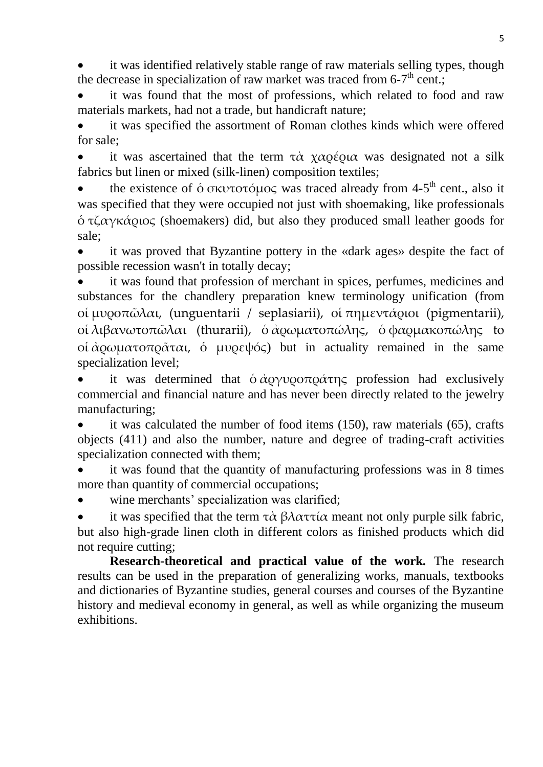it was identified relatively stable range of raw materials selling types, though the decrease in specialization of raw market was traced from 6-7<sup>th</sup> cent.;

 it was found that the most of professions, which related to food and raw materials markets, had not a trade, but handicraft nature;

 it was specified the assortment of Roman clothes kinds which were offered for sale;

it was ascertained that the term  $\tau \dot{\alpha}$  χαρέρια was designated not a silk fabrics but linen or mixed (silk-linen) composition textiles;

• the existence of  $\acute{o}$  σκυτοτόμος was traced already from 4-5<sup>th</sup> cent., also it was specified that they were occupied not just with shoemaking, like professionals  $\phi$  τζαγκάριος (shoemakers) did, but also they produced small leather goods for sale;

 it was proved that Byzantine pottery in the «dark ages» despite the fact of possible recession wasn't in totally decay;

 it was found that profession of merchant in spices, perfumes, medicines and substances for the chandlery preparation knew terminology unification (from οί μυροπῶλαι, (unguentarii / seplasiarii), οί πημεντάριοι (pigmentarii), οί λιβανωτοπῶλαι (thurarii), ὁ ἀρωματοπώλης, ὁ φαρμακοπώλης to οί άρωμα τοπράται, ό μυρεψός) but in actuality remained in the same specialization level;

it was determined that  $\phi \dot{\alpha}$   $\alpha \gamma \nu \rho \alpha \tau \eta \zeta$  profession had exclusively commercial and financial nature and has never been directly related to the jewelry manufacturing;

 it was calculated the number of food items (150), raw materials (65), crafts objects (411) and also the number, nature and degree of trading-craft activities specialization connected with them;

 it was found that the quantity of manufacturing professions was in 8 times more than quantity of commercial occupations:

wine merchants' specialization was clarified;

it was specified that the term  $\tau \dot{\alpha} \beta \lambda \alpha \tau \tau \dot{\alpha}$  meant not only purple silk fabric, but also high-grade linen cloth in different colors as finished products which did not require cutting;

**Research-theoretical and practical value of the work.** The research results can be used in the preparation of generalizing works, manuals, textbooks and dictionaries of Byzantine studies, general courses and courses of the Byzantine history and medieval economy in general, as well as while organizing the museum exhibitions.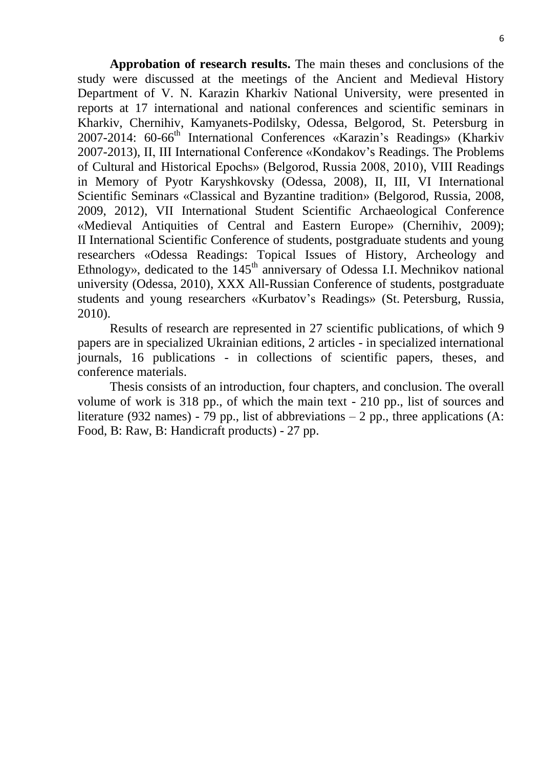**Approbation of research results.** The main theses and conclusions of the study were discussed at the meetings of the Ancient and Medieval History Department of V. N. Karazin Kharkiv National University, were presented in reports at 17 international and national conferences and scientific seminars in Kharkiv, Chernihiv, Kamyanets-Podilsky, Odessa, Belgorod, St. Petersburg in 2007-2014: 60-66<sup>th</sup> International Conferences «Karazin's Readings» (Kharkiv 2007-2013), II, III International Conference «Kondakov's Readings. The Problems of Cultural and Historical Epochs» (Belgorod, Russia 2008, 2010), VIII Readings in Memory of Pyotr Karyshkovsky (Odessa, 2008), II, III, VI International Scientific Seminars «Classical and Byzantine tradition» (Belgorod, Russia, 2008, 2009, 2012), VII International Student Scientific Archaeological Conference «Medieval Antiquities of Central and Eastern Europe» (Chernihiv, 2009); II International Scientific Conference of students, postgraduate students and young researchers «Odessa Readings: Topical Issues of History, Archeology and Ethnology», dedicated to the  $145<sup>th</sup>$  anniversary of Odessa I.I. Mechnikov national university (Odessa, 2010), XXX All-Russian Conference of students, postgraduate students and young researchers «Kurbatov's Readings» (St. Petersburg, Russia, 2010).

Results of research are represented in 27 scientific publications, of which 9 papers are in specialized Ukrainian editions, 2 articles - in specialized international journals, 16 publications - in collections of scientific papers, theses, and conference materials.

Thesis consists of an introduction, four chapters, and conclusion. The overall volume of work is 318 pp., of which the main text - 210 pp., list of sources and literature (932 names) - 79 pp., list of abbreviations  $-2$  pp., three applications (A: Food, B: Raw, B: Handicraft products) - 27 pp.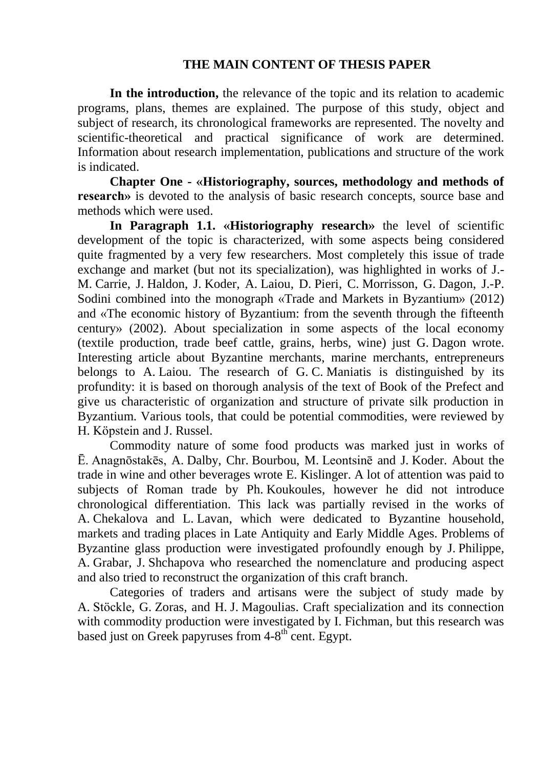### **THE MAIN CONTENT OF THESIS PAPER**

**In the introduction,** the relevance of the topic and its relation to academic programs, plans, themes are explained. The purpose of this study, object and subject of research, its chronological frameworks are represented. The novelty and scientific-theoretical and practical significance of work are determined. Information about research implementation, publications and structure of the work is indicated.

**Chapter One - «Historiography, sources, methodology and methods of research**» is devoted to the analysis of basic research concepts, source base and methods which were used.

**In Paragraph 1.1. «Historiography research»** the level of scientific development of the topic is characterized, with some aspects being considered quite fragmented by a very few researchers. Most completely this issue of trade exchange and market (but not its specialization), was highlighted in works of J.- M. Carrie, J. Haldon, J. Koder, A. Laiou, D. Pieri, C. Morrisson, G. Dagon, J.-P. Sodini combined into the monograph «Trade and Markets in Byzantium» (2012) and «The economic history of Byzantium: from the seventh through the fifteenth century» (2002). About specialization in some aspects of the local economy (textile production, trade beef cattle, grains, herbs, wine) just G. Dagon wrote. Interesting article about Byzantine merchants, marine merchants, entrepreneurs belongs to A. Laiou. The research of G. C. Maniatis is distinguished by its profundity: it is based on thorough analysis of the text of Book of the Prefect and give us characteristic of organization and structure of private silk production in Byzantium. Various tools, that could be potential commodities, were reviewed by H. Köpstein and J. Russel.

Commodity nature of some food products was marked just in works of Ē. Anagnōstakēs, A. Dalby, Chr. Bourbou, M. Leontsinē and J. Koder. About the trade in wine and other beverages wrote E. Kislinger. A lot of attention was paid to subjects of Roman trade by Ph. Koukoules, however he did not introduce chronological differentiation. This lack was partially revised in the works of A. Chekalova and L. Lavan, which were dedicated to Byzantine household, markets and trading places in Late Antiquity and Early Middle Ages. Problems of Byzantine glass production were investigated profoundly enough by J. Philippe, A. Grabar, J. Shchapova who researched the nomenclature and producing aspect and also tried to reconstruct the organization of this craft branch.

Categories of traders and artisans were the subject of study made by A. Stöckle, G. Zoras, and H. J. Magoulias. Craft specialization and its connection with commodity production were investigated by I. Fichman, but this research was based just on Greek papyruses from  $4-8^{th}$  cent. Egypt.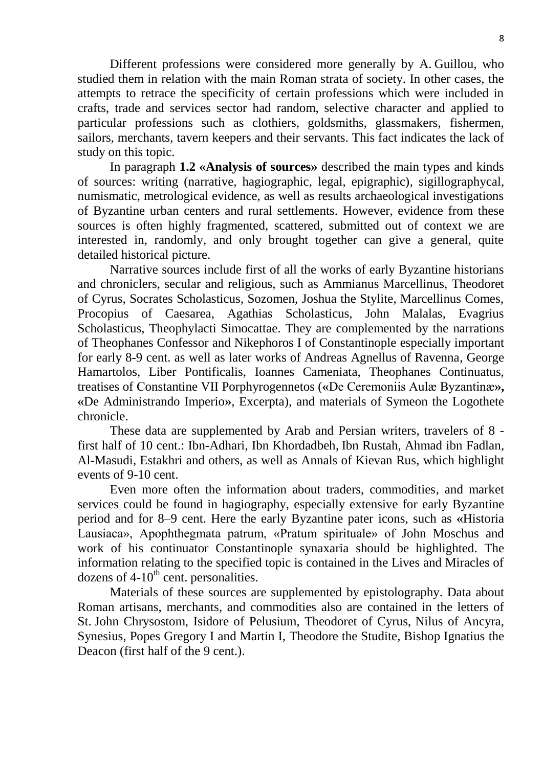Different professions were considered more generally by A. Guillou, who studied them in relation with the main Roman strata of society. In other cases, the attempts to retrace the specificity of certain professions which were included in crafts, trade and services sector had random, selective character and applied to particular professions such as clothiers, goldsmiths, glassmakers, fishermen, sailors, merchants, tavern keepers and their servants. This fact indicates the lack of study on this topic.

In paragraph **1.2 «Analysis of sources»** described the main types and kinds of sources: writing (narrative, hagiographic, legal, epigraphic), sigillographycal, numismatic, metrological evidence, as well as results archaeological investigations of Byzantine urban centers and rural settlements. However, evidence from these sources is often highly fragmented, scattered, submitted out of context we are interested in, randomly, and only brought together can give a general, quite detailed historical picture.

Narrative sources include first of all the works of early Byzantine historians and chroniclers, secular and religious, such as Ammianus Marcellinus, Theodoret of Cyrus, Socrates Scholasticus, Sozomen, Joshua the Stylite, Marcellinus Comes, Procopius of Caesarea, Agathias Scholasticus, John Malalas, Evagrius Scholasticus, Theophylacti Simocattae. They are complemented by the narrations of Theophanes Confessor and Nikephoros I of Constantinople especially important for early 8-9 cent. as well as later works of Andreas Agnellus of Ravenna, George Hamartolos, Liber Pontificalis, Ioannes Cameniata, Theophanes Continuatus, treatises of Сonstantine VII Porphyrogennetos (**«**De Ceremoniis Aulæ Byzantinæ**», «**De Administrando Imperio**»**, Excerpta), and materials of Symeon the Logothete chronicle.

These data are supplemented by Arab and Persian writers, travelers of 8 first half of 10 cent.: Ibn-Adhari, Ibn Khordadbeh, Ibn Rustah, Ahmad ibn Fadlan, Al-Masudi, Estakhri and others, as well as Annals of Kievan Rus, which highlight events of 9-10 cent.

Even more often the information about traders, commodities, and market services could be found in hagiography, especially extensive for early Byzantine period and for 8–9 cent. Here the early Byzantine pater icons, such as **«**Historia Lausiaca», Apophthegmata patrum, «Pratum spirituale» of John Moschus and work of his continuator Constantinople synaxaria should be highlighted. The information relating to the specified topic is contained in the Lives and Miracles of dozens of  $4-10^{th}$  cent. personalities.

Materials of these sources are supplemented by epistolography. Data about Roman artisans, merchants, and commodities also are contained in the letters of St. John Chrysostom, Isidore of Pelusium, Theodoret of Cyrus, Nilus of Ancyra, Synesius, Popes Gregory I and Martin I, Theodore the Studite, Bishop Ignatius the Deacon (first half of the 9 cent.).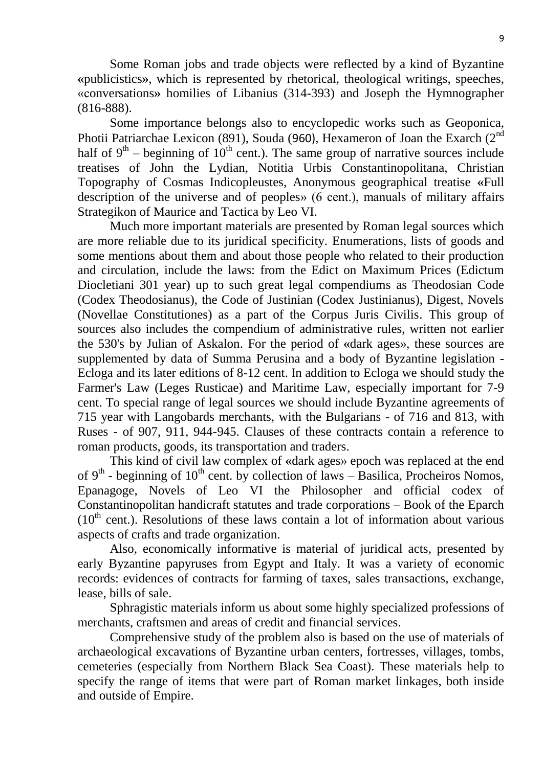Some Roman jobs and trade objects were reflected by a kind of Byzantine **«**publicistics**»**, which is represented by rhetorical, theological writings, speeches, «conversations**»** homilies of Libanius (314-393) and Joseph the Hymnographer (816-888).

Some importance belongs also to encyclopedic works such as Geoponica, Photii Patriarchae Lexicon (891), Souda (960), Hexameron of Joan the Exarch ( $2<sup>nd</sup>$ half of  $9<sup>th</sup>$  – beginning of 10<sup>th</sup> cent.). The same group of narrative sources include treatises of John the Lydian, Notitia Urbis Constantinopolitana, Christian Topography of Cosmas Indicopleustes, Anonymous geographical treatise **«**Full description of the universe and of peoples» (6 cent.), manuals of military affairs Strategikon of Maurice and Tactica by Leo VI.

Much more important materials are presented by Roman legal sources which are more reliable due to its juridical specificity. Enumerations, lists of goods and some mentions about them and about those people who related to their production and circulation, include the laws: from the Edict on Maximum Prices (Edictum Diocletiani 301 year) up to such great legal compendiums as Theodosian Code (Codex Theodosianus), the Code of Justinian (Codex Justinianus), Digest, Novels (Novellae Constitutiones) as a part of the Corpus Juris Civilis. This group of sources also includes the compendium of administrative rules, written not earlier the 530's by Julian of Askalon. For the period of **«**dark ages», these sources are supplemented by data of Summa Perusina and a body of Byzantine legislation - Ecloga and its later editions of 8-12 cent. In addition to Ecloga we should study the Farmer's Law (Leges Rusticae) and Maritime Law, especially important for 7-9 cent. To special range of legal sources we should include Byzantine agreements of 715 year with Langobards merchants, with the Bulgarians - of 716 and 813, with Ruses - of 907, 911, 944-945. Clauses of these contracts contain a reference to roman products, goods, its transportation and traders.

This kind of civil law complex of **«**dark ages» epoch was replaced at the end of  $9<sup>th</sup>$  - beginning of  $10<sup>th</sup>$  cent. by collection of laws – Basilica, Procheiros Nomos, Epanagoge, Novels of Leo VI the Philosopher and official codex of Constantinopolitan handicraft statutes and trade corporations – Book of the Eparch  $(10<sup>th</sup>$  cent.). Resolutions of these laws contain a lot of information about various aspects of crafts and trade organization.

Also, economically informative is material of juridical acts, presented by early Byzantine papyruses from Egypt and Italy. It was a variety of economic records: evidences of contracts for farming of taxes, sales transactions, exchange, lease, bills of sale.

Sphragistic materials inform us about some highly specialized professions of merchants, craftsmen and areas of credit and financial services.

Comprehensive study of the problem also is based on the use of materials of archaeological excavations of Byzantine urban centers, fortresses, villages, tombs, cemeteries (especially from Northern Black Sea Coast). These materials help to specify the range of items that were part of Roman market linkages, both inside and outside of Empire.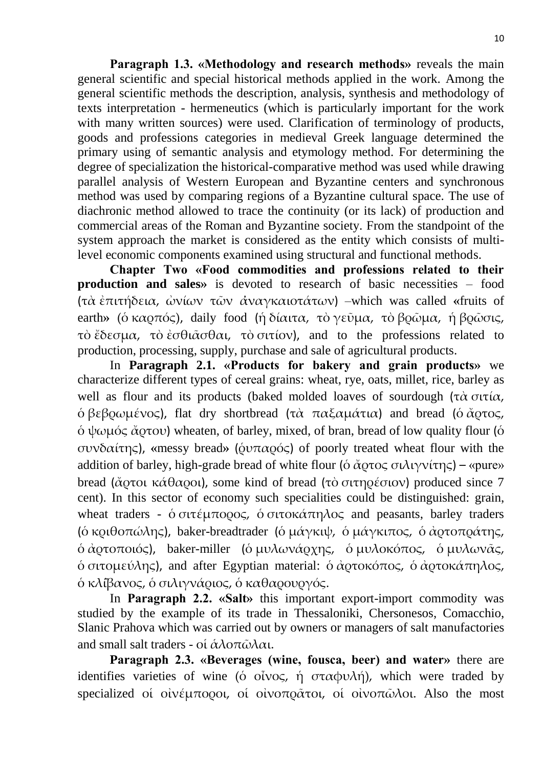**Paragraph 1.3. «Methodology and research methods»** reveals the main general scientific and special historical methods applied in the work. Among the general scientific methods the description, analysis, synthesis and methodology of texts interpretation - hermeneutics (which is particularly important for the work with many written sources) were used. Clarification of terminology of products, goods and professions categories in medieval Greek language determined the primary using of semantic analysis and etymology method. For determining the degree of specialization the historical-comparative method was used while drawing parallel analysis of Western European and Byzantine centers and synchronous method was used by comparing regions of a Byzantine cultural space. The use of diachronic method allowed to trace the continuity (or its lack) of production and commercial areas of the Roman and Byzantine society. From the standpoint of the system approach the market is considered as the entity which consists of multilevel economic components examined using structural and functional methods.

**Chapter Two «Food commodities and professions related to their production and sales** is devoted to research of basic necessities – food (τὰ ἐπιτή εια, ὠ ω τῶ α αγκαιοτάτω ) –which was called **«**fruits of earth» (ὁ καρπός), daily food (ἡ δίαιτα, τὸ γεῦμα, τὸ βρῶμα, ἡ βρῶσις, τὸ ἔδεσμα, τὸ ἐσθι $\alpha$ σθαι, τὸ σιτίον), and to the professions related to production, processing, supply, purchase and sale of agricultural products.

In **Paragraph 2.1. «Products for bakery and grain products»** we characterize different types of сereal grains: wheat, rye, oats, millet, rice, barley as well as flour and its products (baked molded loaves of sourdough (τὰ σιτία,  $\delta \beta \epsilon \beta \omega \mu \epsilon \nu o \varsigma$ ), flat dry shortbread (τὰ παξαμάτια) and bread (ὁ ἄρτος,  $\delta \psi$ ωμός ἄρτου) wheaten, of barley, mixed, of bran, bread of low quality flour (δ συ α της), **«**messy bread**»** (ῥυπα ς) of poorly treated wheat flour with the addition of barley, high-grade bread of white flour ( $\acute{\text{o}}$  άρτος σιλιγνίτης) – «pure» bread (ἄρτοι κάθαροι), some kind of bread (τὸ σιτηρέσιον) produced since 7 cent). In this sector of economy such specialities could be distinguished: grain, wheat traders -  $\acute{o}$  σιτέμπορος,  $\acute{o}$  σιτοκάπηλος and peasants, barley traders (δ κριθοπώλης), baker-breadtrader (δ μάγκιψ, δ μάγκιπος, δ άρτοπράτης,  $\delta \dot{\alpha}$  (δ αρτοποιός), baker-miller (δ μυλωνά αχης, δ μυλοκόπος, δ μυλωνάς,  $\delta$  σιτομεύλης), and after Egyptian material:  $\delta$  άρτοκόπος,  $\delta$  άρτοκάπηλος, δ κλίβανος, ό σιλιγνάριος, ό καθαρουργός.

In **Paragraph 2.2. «Salt»** this important export-import commodity was studied by the example of its trade in Thessaloniki, Chersonesos, Comacchio, Slanic Prahova which was carried out by owners or managers of salt manufactories and small salt traders - οἱ άλοπῶλαι.

**Paragraph 2.3. «Beverages (wine, fousca, beer) and water»** there are identifies varieties of wine (ο οἶνος, ή σταφυλή), which were traded by specialized οι οινέμποροι, οι οινοπράτοι, οι οινοπώλοι. Also the most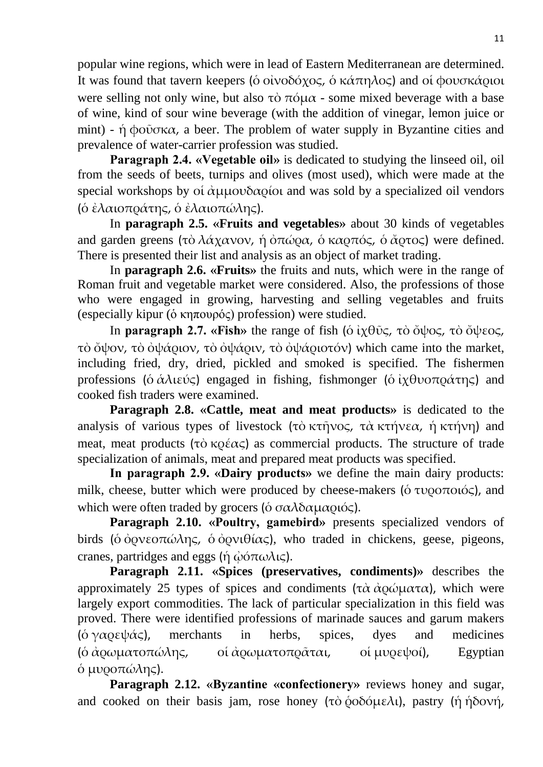popular wine regions, which were in lead of Eastern Mediterranean are determined. It was found that tavern keepers (ο οινοδόχος, ο κάπηλος) and οι φουσκάριοι were selling not only wine, but also τὸ πόμα - some mixed beverage with a base of wine, kind of sour wine beverage (with the addition of vinegar, lemon juice or mint) - ή φοῦσκα, a beer. The problem of water supply in Byzantine cities and prevalence of water-carrier profession was studied.

**Paragraph 2.4. «Vegetable oil»** is dedicated to studying the linseed oil, oil from the seeds of beets, turnips and olives (most used), which were made at the special workshops by οί άμμουδαρίοι and was sold by a specialized oil vendors (ὁ ἐλαιοπ άτης, ὁ ἐλαιοπώλης).

In **paragraph 2.5. «Fruits and vegetables»** about 30 kinds of vegetables and garden greens (τὸ λάχανον, ἡ ὀπώρα, ὁ καρπός, ὁ ἄρτος) were defined. There is presented their list and analysis as an object of market trading.

In **paragraph 2.6. «Fruits»** the fruits and nuts, which were in the range of Roman fruit and vegetable market were considered. Also, the professions of those who were engaged in growing, harvesting and selling vegetables and fruits (especially kipur (ὁ κηπουρός) profession) were studied.

In **paragraph 2.7. «Fish»** the range of fish (ὁ ἰχθῦς, τὸ ὄψος, τὸ ὄψεος, τὸ ὄψον, τὸ ὀψάριον, τὸ ὀψάριν, τὸ ὀψάριοτόν) which came into the market, including fried, dry, dried, pickled and smoked is specified. The fishermen professions (ό άλιεύς) engaged in fishing, fishmonger (ό ιχθυοπράτης) and cooked fish traders were examined.

**Paragraph 2.8. «Cattle, meat and meat products»** is dedicated to the analysis of various types of livestock (τὸ κτῆνος, τὰ κτήνεα, ἡ κτήνη) and meat, meat products (τὸ κοέας) as commercial products. The structure of trade specialization of animals, meat and prepared meat products was specified.

**In paragraph 2.9. «Dairy products»** we define the main dairy products: milk, cheese, butter which were produced by cheese-makers ( $\acute{o}$  τυροποιός), and which were often traded by grocers ( $\delta \sigma \alpha \lambda \delta \alpha \mu \alpha \rho \iota \phi \varsigma$ ).

**Paragraph 2.10. «Poultry, gamebird»** presents specialized vendors of birds (ο όρνεοπώλης, ο όρνιθίας), who traded in chickens, geese, pigeons, cranes, partridges and eggs (ή  $\dot{\omega}$ όπωλις).

**Paragraph 2.11. «Spices (preservatives, condiments)»** describes the approximately 25 types of spices and condiments (τὰ ἀρώματα), which were largely export commodities. The lack of particular specialization in this field was proved. There were identified professions of marinade sauces and garum makers ( $\acute{o} \gamma \alpha$  $\alpha \epsilon \psi \dot{\alpha}$ ), merchants in herbs, spices, dyes and medicines (δ ἀρωματοπώλης, οἱ ἀρωματοπρᾶται, οἱ μυρεψοί), Egyptian  $\phi$  μυροπώλης).

**Paragraph 2.12. «Byzantine «confectionery»** reviews honey and sugar, and cooked on their basis jam, rose honey (τὸ <u></u>δοδόμελι), pastry (ἡ ἡδονή,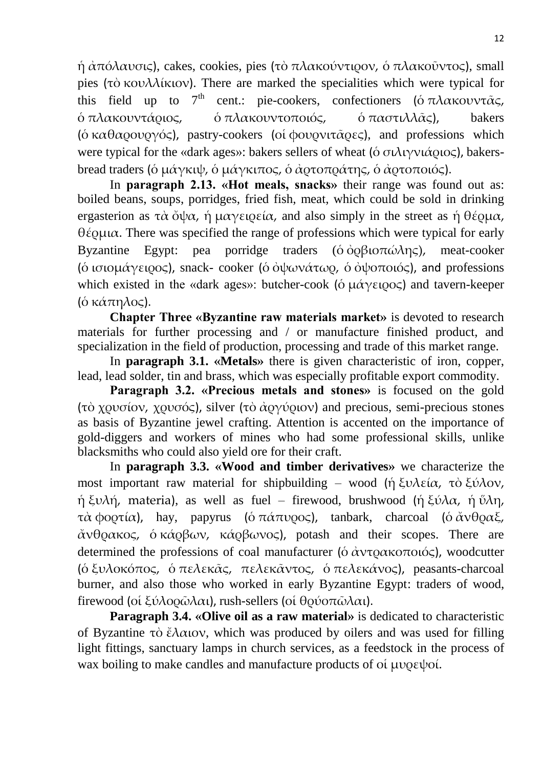$\eta \dot{\alpha} \pi \dot{\alpha} \lambda \alpha \nu \sigma \zeta$ , cakes, cookies, pies (τὸ πλακούντιρον, ὁ πλακοῦντος), small pies (τὸ κουλλίκιον). There are marked the specialities which were typical for this field up to  $7<sup>th</sup>$  cent.: pie-cookers, confectioners (ο πλακουντ $\tilde{\alpha}$ ς, ό πλακουντάριος,  $\phi$  πλακουντοποιός,  $\phi$  παστιλλ $\tilde{\alpha}$ ς), bakers ( $\acute{\text{o}}$  καθαρουργός), pastry-cookers (οἱ φουρνιτ $\tilde{\text{a}}$   $\text{o}$ ες), and professions which were typical for the «dark ages»: bakers sellers of wheat ( $\acute{o}$  σιλιγνιάριος), bakersbread traders (ὁ μάγκιψ, ὁ μάγκιπος, ὁ ἀρτοπράτης, ὁ ἀρτοποιός).

In **paragraph 2.13. «Hot meals, snacks»** their range was found out as: boiled beans, soups, porridges, fried fish, meat, which could be sold in drinking ergasterion as τὰ ὄψα, ή μαγειρεία, and also simply in the street as ή θέρμα, θέ ομια. There was specified the range of professions which were typical for early Byzantine Egypt: pea porridge traders ( $\dot{\theta}$   $\dot{\theta}$  $\beta$  $\theta$  $\alpha$  $\beta$  $\gamma$ ), meat-cooker (ό ισιομάγειρος), snack- cooker (ο όψωνάτωρ, ο όψοποιός), and professions which existed in the «dark ages»: butcher-cook ( $\acute{\text{o}}$   $\mu$  $\acute{\alpha}$  $\gamma$  $\epsilon$  $\mu$ o $\alpha$ ) and tavern-keeper (ο κάπηλος).

**Chapter Three «Byzantine raw materials market»** is devoted to research materials for further processing and / or manufacture finished product, and specialization in the field of production, processing and trade of this market range.

In **paragraph 3.1. «Metals»** there is given characteristic of iron, copper, lead, lead solder, tin and brass, which was especially profitable export commodity.

**Paragraph 3.2. «Precious metals and stones»** is focused on the gold (τὸ χρυσίον, χρυσός), silver (τὸ ἀργύριον) and precious, semi-precious stones as basis of Byzantine jewel crafting. Attention is accented on the importance of gold-diggers and workers of mines who had some professional skills, unlike blacksmiths who could also yield ore for their craft.

In **paragraph 3.3. «Wood and timber derivatives»** we characterize the most important raw material for shipbuilding – wood (ή ξυλεία, τὸ ξύλον, ἡ ξυλή, materia), as well as fuel – firewood, brushwood (ἡ ξύλα, ἡ ὕλη, τὰ φορτία), hay, papyrus (ὁ πάπυρος), tanbark, charcoal (ὁ ἄνθραξ,  $\alpha$ νθρακος, ο κάρβων, κάρβωνος), potash and their scopes. There are determined the professions of coal manufacturer ( $\acute{o}$   $\alpha$   $\gamma$ to $\alpha$  $\kappa$  $\alpha$  $\alpha$  $\acute{o}$ ), woodcutter (ό ξυλοκόπος, ό πελεκᾶς, πελεκᾶντος, ό πελεκάνος), peasants-charcoal burner, and also those who worked in early Byzantine Egypt: traders of wood, firewood (οἱ ξύλορῶλαι), rush-sellers (οἱ θρύοπῶλαι).

**Paragraph 3.4. «Olive oil as a raw material»** is dedicated to characteristic of Byzantine τὸ ἔλαιον, which was produced by oilers and was used for filling light fittings, sanctuary lamps in church services, as a feedstock in the process of wax boiling to make candles and manufacture products of οί μυρεψοί.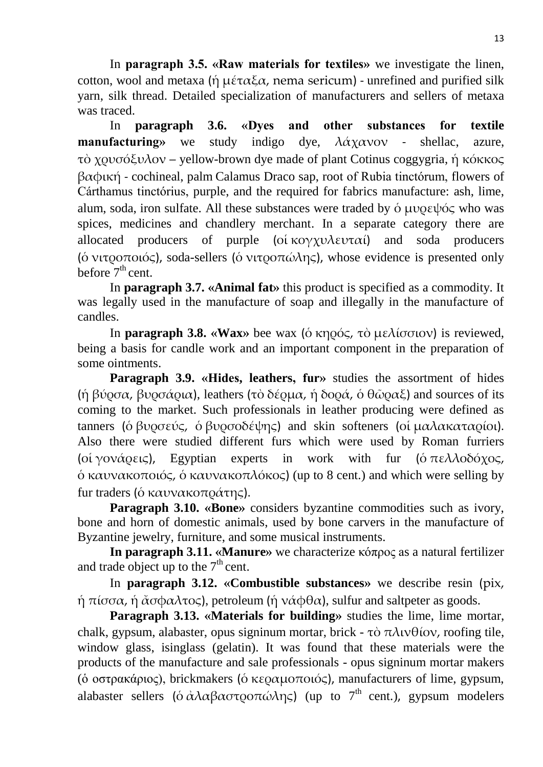In **paragraph 3.5. «Raw materials for textiles»** we investigate the linen, cotton, wool and metaxa (ή  $\mu \varepsilon \tau \alpha \varepsilon \alpha$ , nema sericum) - unrefined and purified silk yarn, silk thread. Detailed specialization of manufacturers and sellers of metaxa was traced.

In **paragraph 3.6. «Dyes and other substances for textile manufacturing**» we study indigo dye, λάχανον - shellac, azure, τὸ χουσόξυλον – yellow-brown dye made of plant Cotinus coggygria, ή κόκκος βαφική - cochineal, palm Calamus Draco sap, root of Rubia tinctórum, flowers of Cárthamus tinctórius, purple, and the required for fabrics manufacture: ash, lime, alum, soda, iron sulfate. All these substances were traded by  $\acute{o}$  μυρεψός who was spices, medicines and chandlery merchant. In a separate category there are allocated producers of purple (οί κογχυλευταί) and soda producers ( $\acute{o}$  νιτροποιός), soda-sellers ( $\acute{o}$  νιτροπώλης), whose evidence is presented only before  $7<sup>th</sup>$  cent.

In **paragraph 3.7. «Animal fat»** this product is specified as a commodity. It was legally used in the manufacture of soap and illegally in the manufacture of candles.

In **paragraph 3.8. «Wax»** bee wax (δ κηρός, τὸ μελίσσιον) is reviewed, being a basis for candle work and an important component in the preparation of some ointments.

**Paragraph 3.9. «Hides, leathers, fur»** studies the assortment of hides (ή βύρσα, βυρσάρια), leathers (τὸ δέρμα, ή δορά, ὁ θῶραξ) and sources of its coming to the market. Such professionals in leather producing were defined as tanners (ό βυρσεύς, ό βυρσοδέψης) and skin softeners (οί μαλακαταρίοι). Also there were studied different furs which were used by Roman furriers (οί γονάρεις), Egyptian experts in work with fur (όπελλοδόχος,  $\delta$  καυνακοποιός,  $\delta$  καυνακοπλόκος) (up to 8 cent.) and which were selling by fur traders (ό καυνακοπράτης).

**Paragraph 3.10. «Bone»** considers byzantine commodities such as ivory, bone and horn of domestic animals, used by bone carvers in the manufacture of Byzantine jewelry, furniture, and some musical instruments.

**In paragraph 3.11. «Manure»** we characterize κόπρος as a natural fertilizer and trade object up to the  $7<sup>th</sup>$  cent.

In **paragraph 3.12. «Combustible substances»** we describe resin (pix, ή πίσσα, ή άσφαλτος), petroleum (ή νάφθα), sulfur and saltpeter as goods.

**Paragraph 3.13. «Materials for building»** studies the lime, lime mortar, chalk, gypsum, alabaster, opus signinum mortar, brick - τὸ πλινθίον, roofing tile, window glass, isinglass (gelatin). It was found that these materials were the products of the manufacture and sale professionals - opus signinum mortar makers (δ οστρακάριος), brickmakers (δ κεραμοποιός), manufacturers of lime, gypsum, alabaster sellers ( $\dot{\alpha} \lambda \alpha \beta \alpha \sigma \tau \rho \sigma \alpha \omega \lambda \eta \zeta$ ) (up to 7<sup>th</sup> cent.), gypsum modelers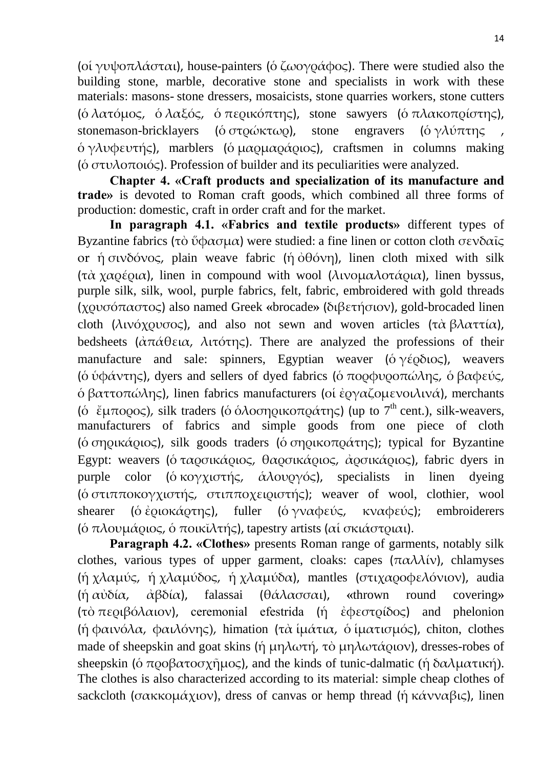(οί γυψοπλάσται), house-painters (ο ζωογράφος). There were studied also the building stone, marble, decorative stone and specialists in work with these materials: masons- stone dressers, mosaicists, stone quarries workers, stone cutters (όλατόμος, όλαξός, όπερικόπτης), stone sawyers (όπλακοπρίστης), stonemason-bricklayers (ὁ στρώκτωρ), stone engravers (ὁ γλύπτης,  $\delta \gamma \lambda \nu \phi \epsilon \nu \tau \gamma \zeta$ ), marblers (όμα αρμαφά στος), craftsmen in columns making ( $\acute{o}$  στυλοποιός). Profession of builder and its peculiarities were analyzed.

**Chapter 4. «Craft products and specialization of its manufacture and trade»** is devoted to Roman craft goods, which combined all three forms of production: domestic, craft in order craft and for the market.

**In paragraph 4.1. «Fabrics and textile products»** different types of Byzantine fabrics (τὸ ὕφασμα) were studied: a fine linen or cotton cloth σενδαῖς or ή σινδόνος, plain weave fabric (ή ὀθόνη), linen cloth mixed with silk (τὰ χαρέρια), linen in compound with wool (λινομαλοτάρια), linen byssus, purple silk, silk, wool, purple fabrics, felt, fabric, embroidered with gold threads (χρυσόπαστος) also named Greek «brocade» (διβετήσιον), gold-brocaded linen cloth (λινόχουσος), and also not sewn and woven articles (τὰ βλαττία), bedsheets ( $\alpha \pi \alpha \theta \epsilon \alpha$ ,  $\lambda \tau \alpha \tau \eta \zeta$ ). There are analyzed the professions of their manufacture and sale: spinners, Egyptian weaver ( $\acute{o} \gamma \acute{\epsilon} \rho \delta \omega \varsigma$ ), weavers (ο ύφάντης), dyers and sellers of dyed fabrics (ο πορφυροπώλης, ο βαφεύς,  $\delta$  βαττοπώλης), linen fabrics manufacturers (οι έργαζομενοιλινά), merchants (o  $\check{\epsilon}$ μπορος), silk traders (o  $\check{\epsilon}$ λοσηρικοπράτης) (up to  $7^{\text{th}}$  cent.), silk-weavers, manufacturers of fabrics and simple goods from one piece of cloth (ό σηρικά (οιος), silk goods traders (ό σηρικοπράτης); typical for Byzantine Egypt: weavers (ό ταρσικάριος, θαρσικάριος, ἀρσικάριος), fabric dyers in purple color (ὁ κογχιστής, άλου φός), specialists in linen dyeing ( $\acute{o}$  στιπποκογχιστής, στιπποχειριστής); weaver of wool, clothier, wool shearer (ὁ ἐριοκάρτης), fuller (ὁ γναφεύς, κναφεύς); embroiderers (ο πλουμάριος, ο ποικϊλτής), tapestry artists (αι σκιάστριαι).

**Paragraph 4.2. «Clothes»** presents Roman range of garments, notably silk clothes, various types of upper garment, cloaks: capes  $(\pi \alpha \lambda \lambda \nu)$ , chlamyses (ή χλαμύς, ή χλαμύδος, ή χλαμύδα), mantles (στιχαροφελόνιον), audia (ἡ αὐ α, ἀβ α), falassai (θάλασσαι), **«**thrown round covering**»**  (τὸ περιβόλαιον), ceremonial efestrida (ή ἐφεστρίδος) and phelonion (ή φαινόλα, φαιλόνης), himation (τὰ ἱμάτια, ὁ ἱματισμός), chiton, clothes made of sheepskin and goat skins (ή μηλωτή, τὸ μηλωτά ριον), dresses-robes of sheepskin (ο προβατοσχήμος), and the kinds of tunic-dalmatic (ή δαλματική). The clothes is also characterized according to its material: simple cheap clothes of sackcloth (σακκομάχιον), dress of canvas or hemp thread (ή κάνναβις), linen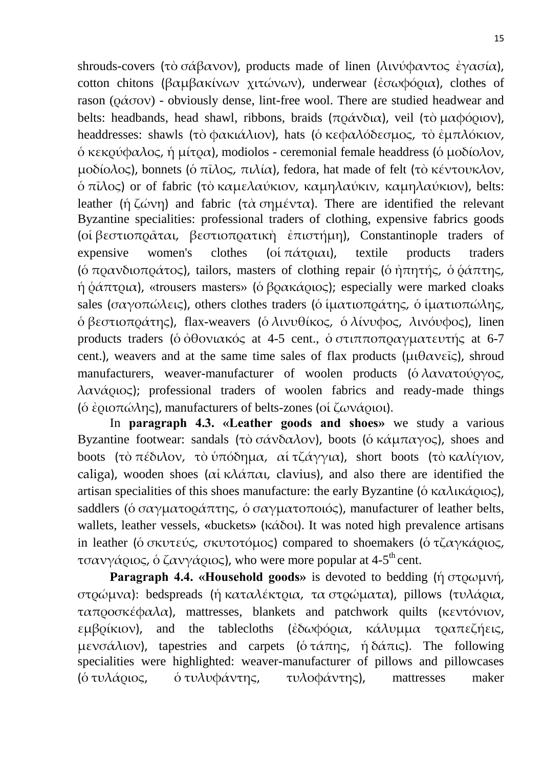shrouds-covers (τὸ σάβανον), products made of linen (λινύφαντος ἐγασία), cotton chitons (βαμβακίνων χιτώνων), underwear (ἐσωφόρια), clothes of rason ( $\phi \hat{\alpha} \sigma \hat{\sigma}$ ) - obviously dense, lint-free wool. There are studied headwear and belts: headbands, head shawl, ribbons, braids (πράνδια), veil (τὸ μαφόριον), headdresses: shawls (τὸ φακιάλιον), hats (ὁ κεφαλόδεσμος, τὸ ἐμπλόκιον,  $\phi$  κεκρύφαλος, ή μίτρα), modiolos - ceremonial female headdress (δ μοδίολον, μοδίολος), bonnets (ό πίλος, πιλία), fedora, hat made of felt (τὸ κέντουκλον,  $\delta \pi \tilde{\iota} \lambda$ ος) or of fabric (τὸ καμελαύκιον, καμηλαύκιν, καμηλαύκιον), belts: leather (ή ζώνη) and fabric (τὰ σημέντα). There are identified the relevant Byzantine specialities: professional traders of clothing, expensive fabrics goods (οί βεστιοπράται, βεστιοπρατική έπιστήμη), Constantinople traders of expensive women's clothes (οί $\pi \alpha \tau \rho \alpha \iota$ ), textile products traders (ο πρανδιοπράτος), tailors, masters of clothing repair (ο ήπητής, ο ράπτης,  $η$   $\phi \alpha \pi \tau$ ρια), «trousers masters» ( $\phi$  βρακάριος); especially were marked cloaks sales (σαγοπώλεις), others clothes traders (δ ίματιοπράτης, δ ίματιοπώλης,  $\delta \beta$ εστιοπράτης), flax-weavers ( $\delta \lambda$ ινυθίκος,  $\delta \lambda$ ίνυφος, λινόυφος), linen products traders ( $\acute{o}$   $\acute{o}$ θονιακός at 4-5 cent.,  $\acute{o}$  στιπποπραγματευτής at 6-7 cent.), weavers and at the same time sales of flax products ( $\mu \theta \alpha \nu \epsilon \tilde{\iota}$ ), shroud manufacturers, weaver-manufacturer of woolen products ( $\delta \lambda \alpha \nu \alpha \tau \sigma \nu \sigma \gamma \sigma \zeta$ ,  $\lambda \alpha \nu \dot{\alpha}$  (a); professional traders of woolen fabrics and ready-made things (ο έριοπώλης), manufacturers of belts-zones (οι ζωνάριοι).

In **paragraph 4.3. «Leather goods and shoes»** we study a various Byzantine footwear: sandals (τὸ σάνδαλον), boots (ὁ κάμπαγος), shoes and boots (τὸ πέδιλον, τὸ ὑπόδημα, αἱ τζάγγια), short boots (τὸ καλίγιον, caliga), wooden shoes (αί κλάπαι, clavius), and also there are identified the artisan specialities of this shoes manufacture: the early Byzantine (ό καλικά ριος), saddlers (ο σαγματοράπτης, ο σαγματοποιός), manufacturer of leather belts, wallets, leather vessels, «buckets» (κάδοι). It was noted high prevalence artisans in leather (ό σκυτεύς, σκυτοτόμος) compared to shoemakers (ό τζαγκάριος, τσανγάριος, ὁ ζανγάριος), who were more popular at 4-5<sup>th</sup> cent.

**Paragraph 4.4. «Household goods» is devoted to bedding (ή στρωμνή,** στρώμνα): bedspreads (ή καταλέκτρια, τα στρώματα), pillows (τυλάρια, ταπροσκέφαλα), mattresses, blankets and patchwork quilts (κεντόνιον, εμβρίκιον), and the tablecloths (ἐδωφόρια, κάλυμμα τραπεζήεις, μενσάλιον), tapestries and carpets ( $\acute{\text{o}}$  τάπης, ή $\delta \acute{\alpha}$ πις). The following specialities were highlighted: weaver-manufacturer of pillows and pillowcases (ό τυλά ριος, ό τυλυφάντης, τυλοφάντης), mattresses maker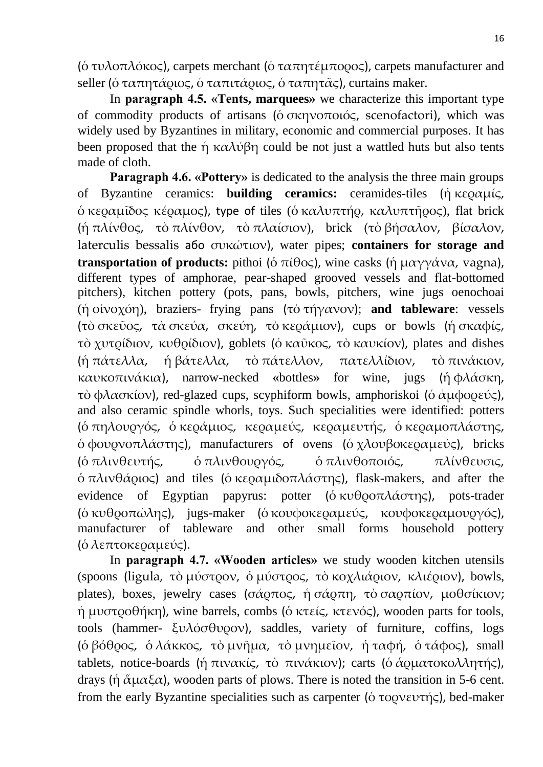( $\delta$  τυλοπλόκος), carpets merchant ( $\delta$  ταπητέμπορος), carpets manufacturer and seller (ό ταπητάριος, ό ταπιτάριος, ό ταπητάς), curtains maker.

In **paragraph 4.5. «Tents, marquees»** we characterize this important type of commodity products of artisans (δ σκηνοποιός, scenofactori), which was widely used by Byzantines in military, economic and commercial purposes. It has been proposed that the ή καλύβη could be not just a wattled huts but also tents made of cloth.

**Paragraph 4.6. «Pottery»** is dedicated to the analysis the three main groups of Byzantine ceramics: **building ceramics:** ceramides-tiles (ή κεραμίς,  $\delta$  κεραμίδος κέραμος), type of tiles (δ καλυπτήρ, καλυπτήρος), flat brick (ή πλίνθος, τὸ πλίνθον, τὸ πλαίσιον), brick (τὸ βήσαλον, βίσαλον, laterculis bessalis a6ο συκώτιον), water pipes; **containers for storage and transportation of products:** pithoi (ό  $\pi$ ίθος), wine casks (ή μαγγάνα, vagna), different types of amphorae, pear-shaped grooved vessels and flat-bottomed pitchers), kitchen pottery (pots, pans, bowls, pitchers, wine jugs oenochoai (ή οἰνοχόη), braziers- frying pans (τὸ τήγανον); **and tableware**: vessels (τὸ σκεῦος, τὰ σκεύα, σκεύη, τὸ κεράμιον), cups or bowls (ή σκαφίς, τὸ χυτρίδιον, κυθρίδιον), goblets (ὁ καῦκος, τὸ καυκίον), plates and dishes (ή πάτελλα, ή βάτελλα, τὸ πάτελλον, πατελλίδιον, τὸ πινάκιον, καυκοπι άκια), narrow-necked **«**bottles**»** for wine, jugs (ἡ φλάσκη, τὸ φλασκίον), red-glazed cups, scyphiform bowls, amphoriskoi (ὁ ἀμφορεύς), and also ceramic spindle whorls, toys. Such specialities were identified: potters (ό πηλουργός, ο κεράμιος, κεραμεύς, κεραμευτής, ο κεραμοπλάστης,  $\phi$  φουρνοπλάστης), manufacturers of ovens ( $\phi \chi \lambda$ ουβοκεραμεύς), bricks (ό πλινθευτής, ό πλινθουργός, ό πλινθοποιός, πλίνθευσις,  $\delta \pi \lambda$ ινθά (ος) and tiles (δ κερα μιδοπλάστης), flask-makers, and after the evidence of Egyptian papyrus: potter ( $\acute{\text{o}}$  κυθροπλάστης), pots-trader (ό κυθροπώλης), jugs-maker (ό κουφοκεραμεύς, κουφοκεραμουργός), manufacturer of tableware and other small forms household pottery (ό λεπτοκεραμεύς).

In **paragraph 4.7. «Wooden articles»** we study wooden kitchen utensils (spoons (ligula, τὸ μύστρον, ὁ μύστρος, τὸ κοχλιάριον, κλιέριον), bowls, plates), boxes, jewelry cases (σάρπος, ή σάρπη, τὸ σαρπίον, μοθσίκιον; ή μυστροθήκη), wine barrels, combs (ο κτείς, κτενός), wooden parts for tools, tools (hammer- ξυλόσθυρον), saddles, variety of furniture, coffins, logs (ό βόθρος, ό λάκκος, τὸ μνῆμα, τὸ μνημεῖον, ή ταφή, ὁ τάφος), small tablets, notice-boards (ή πινακίς, τὸ πινάκιον); carts (ὁ ἁρματοκολλητής), drays (ή άμαξα), wooden parts of plows. There is noted the transition in 5-6 cent. from the early Byzantine specialities such as carpenter ( $\acute{o}$  τορνευτής), bed-maker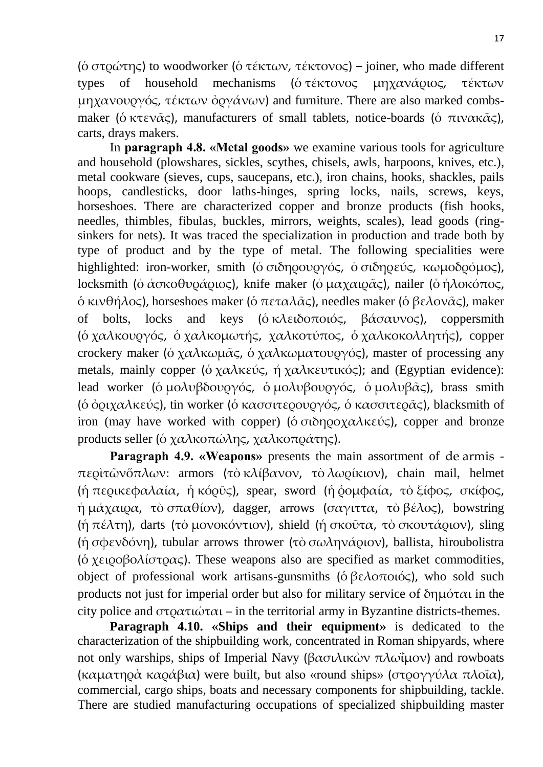( $\acute{o}$  στρώτης) to woodworker ( $\acute{o}$  τέκτων, τέκτονος) – joiner, who made different types of household mechanisms (ότέκτονος μηχανάριος, τέκτων μηχανουργός, τέκτων όργάνων) and furniture. There are also marked combsmaker (ό κτεν $\alpha \in \mathcal{S}$ ), manufacturers of small tablets, notice-boards (ό πινακ $\alpha \in \mathcal{S}$ ), carts, drays makers.

In **paragraph 4.8. «Metal goods»** we examine various tools for agriculture and household (plowshares, sickles, scythes, chisels, awls, harpoons, knives, etc.), metal cookware (sieves, cups, saucepans, etc.), iron chains, hooks, shackles, pails hoops, candlesticks, door laths-hinges, spring locks, nails, screws, keys, horseshoes. There are characterized copper and bronze products (fish hooks, needles, thimbles, fibulas, buckles, mirrors, weights, scales), lead goods (ringsinkers for nets). It was traced the specialization in production and trade both by type of product and by the type of metal. The following specialities were highlighted: iron-worker, smith (ο σιδηρουργός, ο σιδηρεύς, κωμοδρόμος), locksmith (ὁ ἀσκοθυράριος), knife maker (ὁ μαχαιρ $\tilde{\alpha}$ ς), nailer (ὁ ἡλοκόπος,  $\delta$  κινθήλος), horseshoes maker ( $\delta$  πεταλ $\tilde{\alpha}$ ς), needles maker ( $\delta$  βελον $\tilde{\alpha}$ ς), maker of bolts, locks and keys (όκλειδοποιός, βάσαυνος), coppersmith (ό χαλκουργός, ο χαλκομωτής, χαλκοτύπος, ο χαλκοκολλητής), copper crockery maker (ο χαλκωμας, ο χαλκωματουργός), master of processing any metals, mainly copper (ό χαλκεύς, ή χαλκευτικός); and (Egyptian evidence): lead worker (ο μολυβδουργός, ο μολυβουργός, ο μολυβ $\alpha$ ς), brass smith (ο όριχαλκεύς), tin worker (ο κασσιτερουργός, ο κασσιτεράς), blacksmith of iron (may have worked with copper) ( $\acute{o}$  σιδηροχαλκεύς), copper and bronze products seller (ο χαλκοπώλης, χαλκοπράτης).

**Paragraph 4.9. «Weapons»** presents the main assortment of de armis -  $\pi$ ερὶτῶνὅπλων: armors (τὸ κλίβανον, τὸ λωρίκιον), chain mail, helmet (ή περικεφαλαία, ή κόρυς), spear, sword (ή ρομφαία, τὸ ξίφος, σκίφος,  $η$ μάχαιρα, τὸ σπαθίον), dagger, arrows (σαγιττα, τὸ βέλος), bowstring (ή πέλτη), darts (τὸ μονοκόντιον), shield (ή σκοῦτα, τὸ σκουτάριον), sling (ή σφενδόνη), tubular arrows thrower (τὸ σωληνά οιον), ballista, hiroubolistra (ό χειροβολίστρας). These weapons also are specified as market commodities, object of professional work artisans-gunsmiths (δ βελοποιός), who sold such products not just for imperial order but also for military service of  $\delta$ η μόται in the city police and στρατιώται – in the territorial army in Byzantine districts-themes.

**Paragraph 4.10. «Ships and their equipment»** is dedicated to the characterization of the shipbuilding work, concentrated in Roman shipyards, where not only warships, ships of Imperial Νavy (βασιλικών πλωΐμον) and rowboats (καματηρά καράβια) were built, but also «round ships» (στρογγύλα πλοΐα), commercial, cargo ships, boats and necessary components for shipbuilding, tackle. There are studied manufacturing occupations of specialized shipbuilding master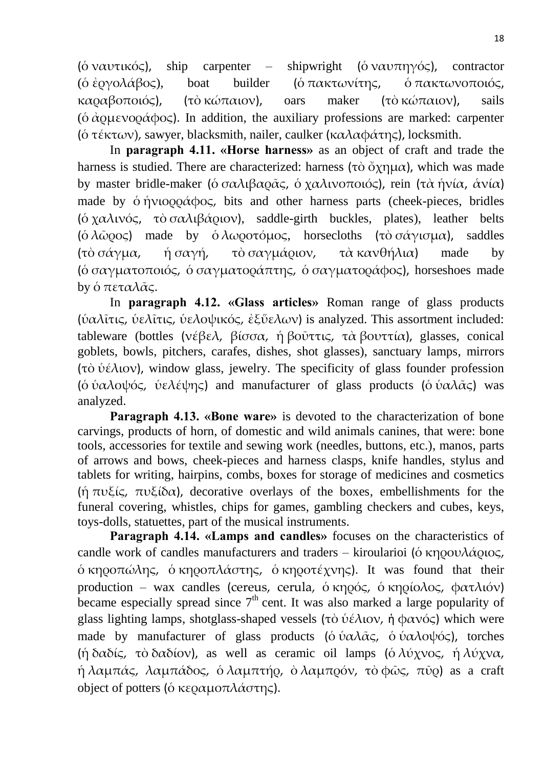(ό ναυτικός), ship carpenter – shipwright (ό ναυπηγός), contractor (δ έργολάβος), boat builder (δ πακτωνίτης, δ πακτωνοποιός, καραβοποιός), (τὸ κώπαιον), oars maker (τὸ κώπαιον), sails ( $\dot{\sigma}$   $\dot{\alpha}$   $\dot{\alpha}$  $\dot{\alpha}$  $\dot{\alpha}$  $\dot{\alpha}$  $\dot{\alpha}$  $\dot{\alpha}$  $\dot{\alpha}$ ). In addition, the auxiliary professions are marked: carpenter ( $\acute{o}$  τέκτων), sawyer, blacksmith, nailer, caulker (καλαφάτης), locksmith.

In **paragraph 4.11. «Horse harness»** as an object of craft and trade the harness is studied. There are characterized: harness (τὸ ὄχημα), which was made by master bridle-maker (ὁ σαλιβαρ $\alpha \zeta$ , ὁ χαλινοποιός), rein (τὰ ἡνία, άνία) made by  $\acute{o}$  ήνιορο $\acute{\alpha}$ φος, bits and other harness parts (cheek-pieces, bridles (ό χαλινός, τὸ σαλιβά ριον), saddle-girth buckles, plates), leather belts ( $\delta \lambda \tilde{\omega}$ ρος) made by  $\delta \lambda \omega$ ροτόμος, horsecloths (τὸ σάγισμα), saddles (τὸ σάγμα, ή σαγή, τὸ σαγμάριον, τὰ κανθήλια) made by (δ σαγματοποιός, δ σαγματοράπτης, δ σαγματοράφος), horseshoes made by ὁ πεταλᾶς.

In **paragraph 4.12. «Glass articles»** Roman range of glass products ( $\hat{v}$ αλῖτις, ὑελῖτις, ὑελοψικός, ἐξὕελων) is analyzed. This assortment included: tableware (bottles (νέβελ, βίσσα, ή βοῦττις, τὰ βουττία), glasses, conical goblets, bowls, pitchers, carafes, dishes, shot glasses), sanctuary lamps, mirrors (τὸ ὑέλιον), window glass, jewelry. The specificity of glass founder profession (ο ύαλοψός, υπελέψης) and manufacturer of glass products (ο υαλάς) was analyzed.

**Paragraph 4.13. «Bone ware»** is devoted to the characterization of bone carvings, products of horn, of domestic and wild animals canines, that were: bone tools, accessories for textile and sewing work (needles, buttons, etc.), manos, parts of arrows and bows, cheek-pieces and harness clasps, knife handles, stylus and tablets for writing, hairpins, combs, boxes for storage of medicines and cosmetics (ή  $\pi v \xi$ ίς,  $\pi v \xi$ ίδα), decorative overlays of the boxes, embellishments for the funeral covering, whistles, chips for games, gambling checkers and cubes, keys, toys-dolls, statuettes, part of the musical instruments.

**Paragraph 4.14. «Lamps and candles»** focuses on the characteristics of candle work of candles manufacturers and traders – kiroularioi (ο κηρουλά οιος,  $\delta$  κηροπώλης,  $\delta$  κηροπλάστης,  $\delta$  κηροτέχνης). It was found that their production – wax candles (cereus, cerula, δ κηρός, δ κηρίολος, φατλιόν) became especially spread since  $7<sup>th</sup>$  cent. It was also marked a large popularity of glass lighting lamps, shotglass-shaped vessels (τὸ ὑέλιον, ἡ φανός) which were made by manufacturer of glass products ( $\delta$  ὑαλ $\alpha\bar{\alpha}$ ς,  $\delta$  ὑαλοψός), torches (ή δαδίς, τὸ δαδίον), as well as ceramic oil lamps (ὁ λύχνος, ή λύχνα, ή λαμπάς, λαμπάδος, ὁ λαμπτή $\varrho$ , ὁ λαμπ $\varrho$ όν, τὸ φῶς, πῦ $\varrho$ ) as a craft object of potters (ο κεραμοπλάστης).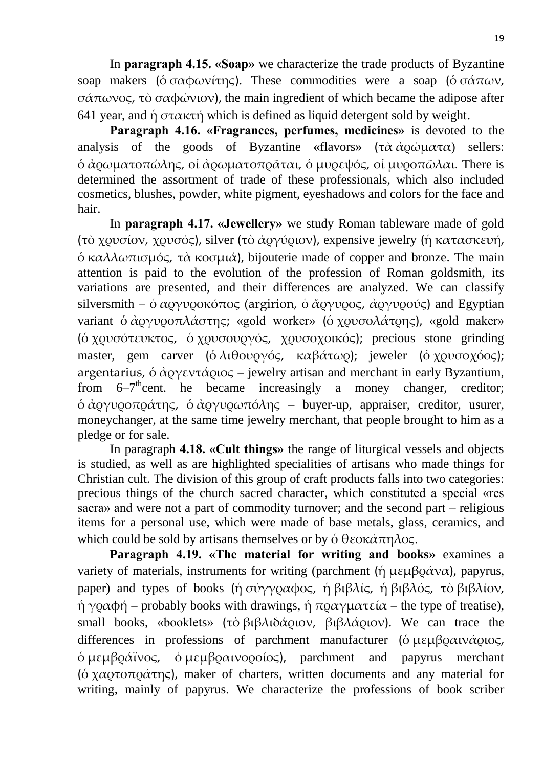In **paragraph 4.15. «Soap»** we characterize the trade products of Byzantine soap makers (όσαφωνίτης). These commodities were a soap (όσάπων, σάπωνος, τὸ σαφώνιον), the main ingredient of which became the adipose after 641 year, and ή στακτή which is defined as liquid detergent sold by weight.

**Paragraph 4.16. «Fragrances, perfumes, medicines»** is devoted to the analysis of the goods of Byzantine «flavors» (τὰ ἀρώματα) sellers: <u>δ ἀρωματοπώλης, οἱ ἀρωματοπρ</u>ᾶται, ὁ μυρεψός, οἱ μυροπῶλαι. There is determined the assortment of trade of these professionals, which also included cosmetics, blushes, powder, white pigment, eyeshadows and colors for the face and hair.

In **paragraph 4.17. «Jewellery»** we study Roman tableware made of gold (τὸ χρυσίον, χρυσός), silver (τὸ ἀργύριον), expensive jewelry (ἡ κατασκευή,  $\phi$  καλλωπισμός, τὰ κοσμιά), bijouterie made of copper and bronze. The main attention is paid to the evolution of the profession of Roman goldsmith, its variations are presented, and their differences are analyzed. We can classify silversmith –  $\dot{\alpha}$  αργυροκόπος (argirion,  $\dot{\alpha}$  άργυρος, αργυρούς) and Egyptian variant ο άργυροπλάστης; «gold worker» (ο χρυσολάτρης), «gold maker» (ό χρυσότευκτος, ό χρυσουργός, χρυσοχοικός); precious stone grinding master, gem carver (ὁ λιθουργός, καβάτωρ); jeweler (ὁ χρυσοχόος); argentarius,  $\dot{\theta} \dot{\alpha}$   $\dot{\alpha}$   $\dot{\alpha}$   $\dot{\alpha}$   $\dot{\alpha}$   $\dot{\alpha}$   $\dot{\alpha}$   $\dot{\alpha}$   $\dot{\alpha}$   $\dot{\alpha}$   $\dot{\alpha}$   $\dot{\alpha}$   $\dot{\alpha}$   $\dot{\alpha}$   $\dot{\alpha}$   $\dot{\alpha}$   $\dot{\alpha}$   $\dot{\alpha}$   $\dot{\alpha}$   $\dot{\alpha}$   $\dot{\alpha}$   $\dot{\alpha}$   $\dot{\alpha}$   $\dot{\alpha}$   $\dot{\alpha}$   $\dot$ from 6–7<sup>th</sup>cent. he became increasingly a money changer, creditor;  $\phi$  άργυροπράτης,  $\phi$  άργυρωπόλης – buyer-up, appraiser, creditor, usurer, moneychanger, at the same time jewelry merchant, that people brought to him as a pledge or for sale.

In paragraph **4.18. «Cult things»** the range of liturgical vessels and objects is studied, as well as are highlighted specialities of artisans who made things for Christian cult. The division of this group of craft products falls into two categories: precious things of the church sacred character, which constituted a special «res sacra» and were not a part of commodity turnover; and the second part – religious items for a personal use, which were made of base metals, glass, ceramics, and which could be sold by artisans themselves or by  $\acute{o} \theta$  εοκάπηλος.

**Paragraph 4.19. «The material for writing and books»** examines a variety of materials, instruments for writing (parchment (ή  $\mu \varepsilon \mu \beta \varrho \dot{\alpha} \nu \alpha$ ), papyrus, paper) and types of books (ἡ σύγγραφος, ἡ βιβλίς, ἡ βιβλός, τὸ βιβλίον,  $η$  γραφή – probably books with drawings,  $η$  πραγματεία – the type of treatise), small books, «booklets» (τὸ βιβλιδά ριον, βιβλά ριον). We can trace the differences in professions of parchment manufacturer (ο μεμβραινάριος,  $\phi$  μεμβράϊνος,  $\phi$  μεμβραινοροίος), parchment and papyrus merchant ( $\acute{o} \chi \alpha$   $\alpha \sigma \tau \alpha \alpha \gamma$ ), maker of charters, written documents and any material for writing, mainly of papyrus. We characterize the professions of book scriber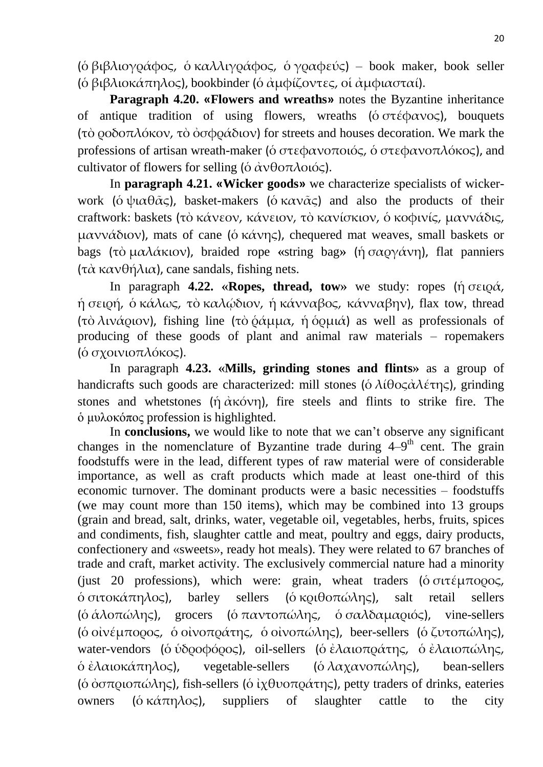(ο βιβλιογράφος, ο καλλιγράφος, ο γραφεύς) – book maker, book seller (ο βιβλιοκάπηλος), bookbinder (ο αμφίζοντες, οι αμφιασταί).

**Paragraph 4.20. «Flowers and wreaths»** notes the Byzantine inheritance of antique tradition of using flowers, wreaths ( $\acute{o}$   $\sigma \tau \acute{\epsilon} \phi \alpha \nu o \varsigma$ ), bouquets (τὸ ροδοπλόκον, τὸ ὀσφράδιον) for streets and houses decoration. We mark the professions of artisan wreath-maker (δ στεφανοποιός, δ στεφανοπλόκος), and cultivator of flowers for selling ( $\dot{\alpha} \dot{\alpha} \nu \theta$  or  $\lambda$  oloc).

In **paragraph 4.21. «Wicker goods»** we characterize specialists of wickerwork (όψιαθ $\tilde{\alpha}$ ς), basket-makers (όκαν $\tilde{\alpha}$ ς) and also the products of their craftwork: baskets (τὸ κάνεον, κάνειον, τὸ κανίσκιον, ὁ κοφινίς, μαννάδις, μαννάδιον), mats of cane (ό κάνης), chequered mat weaves, small baskets or bags (τὸ μαλάκιον), braided rope «string bag» (ήσαργάνη), flat panniers (τὰ κανθήλια), cane sandals, fishing nets.

In paragraph **4.22. «Ropes, thread, tow**» we study: ropes (ή σειρά, ή σειρή, ο κάλως, το καλώδιον, ή κάνναβος, κάνναβην), flax tow, thread (τὸ λινά <sub>0</sub>ιον), fishing line (τὸ ὁάμμα, ἡ ὁρμιά) as well as professionals of producing of these goods of plant and animal raw materials – ropemakers ( $\delta$  σχοινιοπλόκος).

In paragraph **4.23. «Mills, grinding stones and flints»** as a group of handicrafts such goods are characterized: mill stones (ο λίθος αλέτης), grinding stones and whetstones (ή  $\alpha$ κόνη), fire steels and flints to strike fire. The ὁ μυλοκόπος profession is highlighted.

In **conclusions,** we would like to note that we can't observe any significant changes in the nomenclature of Byzantine trade during  $4-9<sup>th</sup>$  cent. The grain foodstuffs were in the lead, different types of raw material were of considerable importance, as well as craft products which made at least one-third of this economic turnover. The dominant products were a basic necessities – foodstuffs (we may count more than 150 items), which may be combined into 13 groups (grain and bread, salt, drinks, water, vegetable oil, vegetables, herbs, fruits, spices and condiments, fish, slaughter cattle and meat, poultry and eggs, dairy products, confectionery and «sweets», ready hot meals). They were related to 67 branches of trade and craft, market activity. The exclusively commercial nature had a minority (just 20 professions), which were: grain, wheat traders ( $\acute{o}$  σιτέμπορος,  $\phi$  σιτοκάπηλος), barley sellers ( $\phi$  κριθοπώλης), salt retail sellers ( $\delta \dot{\alpha} \lambda$ οπώλης), grocers ( $\delta \pi \alpha \nu \tau$ οπώλης,  $\delta \sigma \alpha \lambda \delta \alpha \mu \alpha \rho \iota$ ιός), vine-sellers (ο οινέμπορος, ο οινοπράτης, ο οινοπώλης), beer-sellers (ο ζυτοπώλης), water-vendors (ὁ ὑδροφόρος), oil-sellers (ὁ ἐλαιοπράτης, ὁ ἐλαιοπώλης,  $\delta \dot{\epsilon} \lambda \alpha$ ιοκάπηλος), vegetable-sellers ( $\delta \lambda \alpha \chi \alpha \nu$ οπώλης), bean-sellers ( $\acute{o}$   $\acute{o}$   $\sigma \pi \rho$ ιοπώλης), fish-sellers ( $\acute{o}$   $\grave{i}$ χθυοπράτης), petty traders of drinks, eateries owners ( $\acute{\text{o}}$  κάπηλος), suppliers of slaughter cattle to the city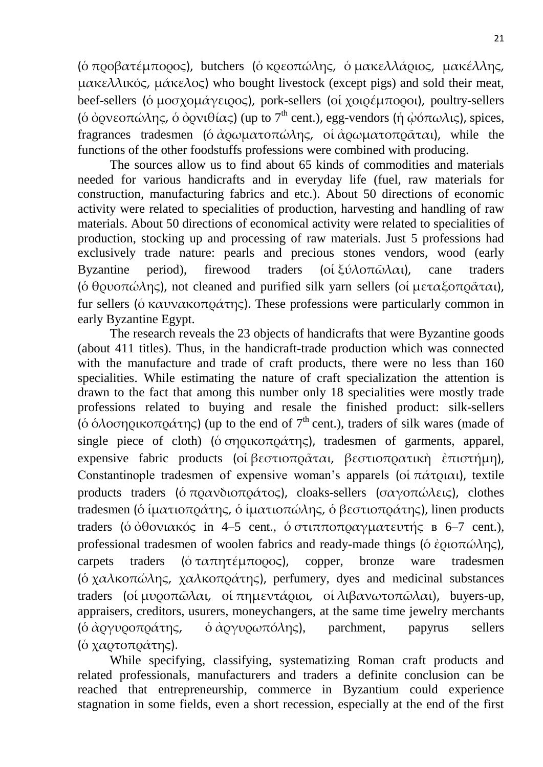(ό προβατέμπορος), butchers (ό κρεοπώλης, ό μακελλάριος, μακέλλης, μακελλικός, μάκελος) who bought livestock (except pigs) and sold their meat, beef-sellers (ο μοσχομάγειρος), pork-sellers (οι χοιρέμποροι), poultry-sellers (ο όρνεοπώλης, ο όρνιθίας) (up to 7<sup>th</sup> cent.), egg-vendors (ή  $\dot{\omega}$ όπωλις), spices, fragrances tradesmen (δ άρωματοπώλης, οἱ ἀρωματοπράται), while the functions of the other foodstuffs professions were combined with producing.

The sources allow us to find about 65 kinds of commodities and materials needed for various handicrafts and in everyday life (fuel, raw materials for construction, manufacturing fabrics and etc.). About 50 directions of economic activity were related to specialities of production, harvesting and handling of raw materials. About 50 directions of economical activity were related to specialities of production, stocking up and processing of raw materials. Just 5 professions had exclusively trade nature: pearls and precious stones vendors, wood (early Byzantine period), firewood traders (οἱ ξύλοπῶλαι), cane traders (ό θρυοπώλης), not cleaned and purified silk yarn sellers (οί μεταξοπράται), fur sellers (δ καυνακοπράτης). These professions were particularly common in early Byzantine Egypt.

The research reveals the 23 objects of handicrafts that were Byzantine goods (about 411 titles). Thus, in the handicraft-trade production which was connected with the manufacture and trade of craft products, there were no less than 160 specialities. While estimating the nature of craft specialization the attention is drawn to the fact that among this number only 18 specialities were mostly trade professions related to buying and resale the finished product: silk-sellers (ο δλοσηρικοπράτης) (up to the end of  $7<sup>th</sup>$  cent.), traders of silk wares (made of single piece of cloth) ( $\acute{o}$  ση  $\acute{o}$  πρικοπ $\acute{o}$ ατης), tradesmen of garments, apparel, expensive fabric products (οἱ βεστιοπράται, βεστιοπρατική ἐπιστήμη), Constantinople tradesmen of expensive woman's apparels (οί πάτριαι), textile products traders (όπρανδιοπράτος), cloaks-sellers (σαγοπώλεις), clothes tradesmen (ὁ ἱματιοπράτης, ὁ ἱματιοπώλης, ὁ βεστιοπράτης), linen products traders (ο όθονιακός in 4–5 cent., ο στιπποπραγματευτής  $B = 6-7$  cent.), professional tradesmen of woolen fabrics and ready-made things (ο έριοπώλης), carpets traders ( $\acute{o} \tau \alpha \pi \eta \tau \acute{\epsilon} \mu \pi \rho \rho \rho \varsigma$ ), copper, bronze ware tradesmen ( $\delta \chi \alpha \lambda \kappa \sigma \pi \omega \lambda \eta \varsigma$ ,  $\chi \alpha \lambda \kappa \sigma \tau \rho \alpha \tau \eta \varsigma$ ), perfumery, dyes and medicinal substances traders (οί μυροπῶλαι, οί πημεντάριοι, οί λιβανωτοπῶλαι), buyers-up, appraisers, creditors, usurers, moneychangers, at the same time jewelry merchants (δ άργυροπράτης, δ άργυρωπόλης), parchment, papyrus sellers (ό χαρτοπράτης).

While specifying, classifying, systematizing Roman craft products and related professionals, manufacturers and traders a definite conclusion can be reached that entrepreneurship, commerce in Byzantium could experience stagnation in some fields, even a short recession, especially at the end of the first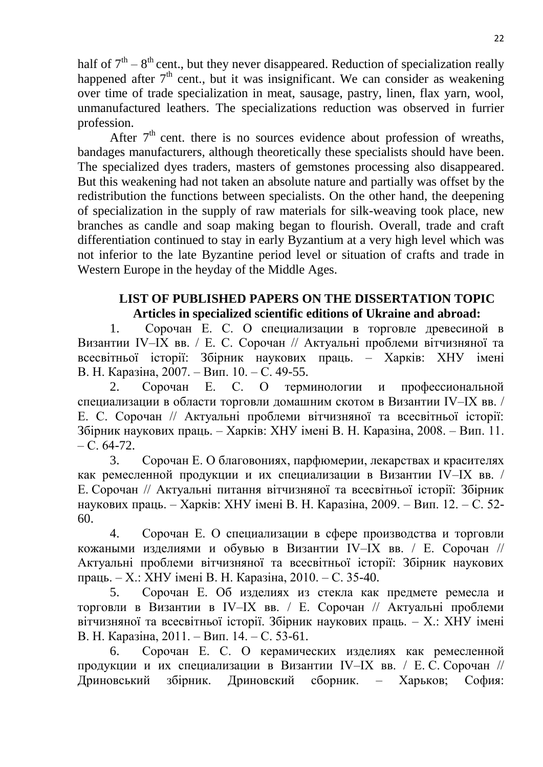half of  $7<sup>th</sup> - 8<sup>th</sup>$  cent., but they never disappeared. Reduction of specialization really happened after  $7<sup>th</sup>$  cent., but it was insignificant. We can consider as weakening over time of trade specialization in meat, sausage, pastry, linen, flax yarn, wool, unmanufactured leathers. The specializations reduction was observed in furrier profession.

After  $7<sup>th</sup>$  cent. there is no sources evidence about profession of wreaths, bandages manufacturers, although theoretically these specialists should have been. The specialized dyes traders, masters of gemstones processing also disappeared. But this weakening had not taken an absolute nature and partially was offset by the redistribution the functions between specialists. On the other hand, the deepening of specialization in the supply of raw materials for silk-weaving took place, new branches as candle and soap making began to flourish. Overall, trade and craft differentiation continued to stay in early Byzantium at a very high level which was not inferior to the late Byzantine period level or situation of crafts and trade in Western Europe in the heyday of the Middle Ages.

### **LIST OF PUBLISHED PAPERS ON THE DISSERTATION TOPIC Articles in specialized scientific editions of Ukraine and abroad:**

1. Сорочан Е. С. О специализации в торговле древесиной в Византии IV–IX вв. / Е. С. Сорочан // Актуальні проблеми вітчизняної та всесвітньої історії: Збірник наукових праць. – Харків: ХНУ імені В. Н. Каразіна, 2007. – Вип. 10. – С. 49-55.

2. Сорочан Е. С. О терминологии и профессиональной специализации в области торговли домашним скотом в Византии IV–IX вв. / Е. С. Сорочан // Актуальні проблеми вітчизняної та всесвітньої історії: Збірник наукових праць. – Харків: ХНУ імені В. Н. Каразіна, 2008. – Вип. 11.  $- C. 64-72.$ 

3. Сорочан Е. О благовониях, парфюмерии, лекарствах и красителях как ремесленной продукции и их специализации в Византии IV–IX вв. / Е. Сорочан // Актуальні питання вітчизняної та всесвітньої історії: Збірник наукових праць. – Харків: ХНУ імені В. Н. Каразіна, 2009. – Вип. 12. – С. 52- 60.

4. Сорочан Е. О специализации в сфере производства и торговли кожаными изделиями и обувью в Византии IV–IX вв. / Е. Сорочан // Актуальні проблеми вітчизняної та всесвітньої історії: Збірник наукових праць. – Х.: ХНУ імені В. Н. Каразіна, 2010. – С. 35-40.

5. Сорочан Е. Об изделиях из стекла как предмете ремесла и торговли в Византии в IV–IX вв. / Е. Сорочан // Актуальні проблеми вітчизняної та всесвітньої історії. Збірник наукових праць. – Х.: ХНУ імені В. Н. Каразіна, 2011. – Вип. 14. – С. 53-61.

6. Сорочан Е. С. О керамических изделиях как ремесленной продукции и их специализации в Византии IV–IX вв. / Е. С. Сорочан // Дриновський збірник. Дриновский сборник. – Харьков; София: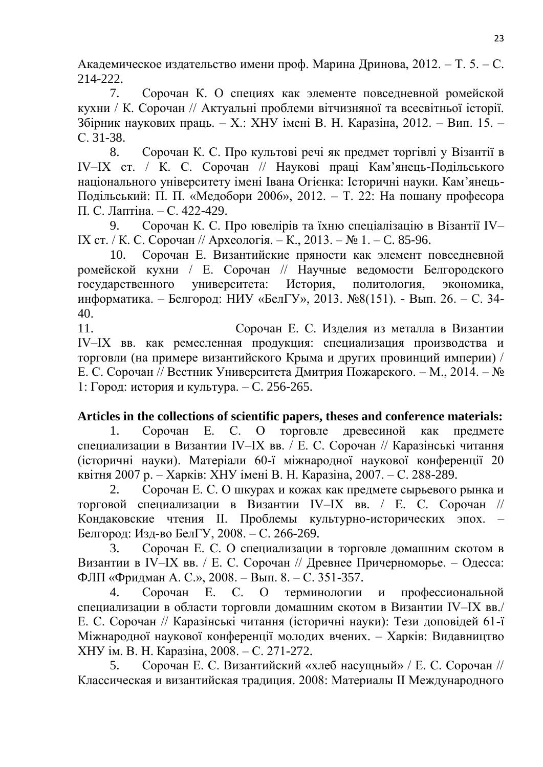Академическое издательство имени проф. Марина Дринова, 2012. – Т. 5. – С. 214-222.

7. Сорочан К. О специях как элементе повседневной ромейской кухни / К. Сорочан // Актуальні проблеми вітчизняної та всесвітньої історії. Збірник наукових праць. – Х.: ХНУ імені В. Н. Каразіна, 2012. – Вип. 15. – С. 31-38.

8. Сорочан К. С. Про культові речі як предмет торгівлі у Візантії в IV–IX ст. / К. С. Сорочан // Наукові праці Кам'янець-Подільського національного університету імені Івана Огієнка: Історичні науки. Кам'янець-Подільський: П. П. «Медобори 2006», 2012. – Т. 22: На пошану професора П. С. Лаптіна. – С. 422-429.

9. Сорочан К. С. Про ювелірів та їхню спеціалізацію в Візантії IV– IX ст. / К. С. Сорочан // Археологія. – К., 2013. – № 1. – C. 85-96.

10. Сорочан Е. Византийские пряности как элемент повседневной ромейской кухни / Е. Сорочан // Научные ведомости Белгородского государственного университета: История, политология, экономика, информатика. – Белгород: НИУ «БелГУ», 2013. №8(151). - Вып. 26. – С. 34- 40.

11. Сорочан Е. С. Изделия из металла в Византии IV‒IX вв. как ремесленная продукция: специализация производства и торговли (на примере византийского Крыма и других провинций империи) / Е. С. Сорочан // Вестник Университета Дмитрия Пожарского. – М., 2014. – № 1: Город: история и культура. – C. 256-265.

### **Articles in the collections of scientific papers, theses and conference materials:**

1. Сорочан Е. С. О торговле древесиной как предмете специализации в Византии IV–IX вв. / Е. С. Сорочан // Каразінські читання (історичні науки). Матеріали 60-ї міжнародної наукової конференції 20 квітня 2007 р. – Харків: ХНУ імені В. Н. Каразіна, 2007. – С. 288-289.

2. Сорочан Е. С. О шкурах и кожах как предмете сырьевого рынка и торговой специализации в Византии IV–IX вв. / Е. С. Сорочан // Кондаковские чтения II. Проблемы культурно-исторических эпох. – Белгород: Изд-во БелГУ, 2008. – С. 266-269.

3. Сорочан Е. С. О специализации в торговле домашним скотом в Византии в IV–IX вв. / Е. С. Сорочан // Древнее Причерноморье. – Одесса: ФЛП «Фридман А. С.», 2008. – Вып. 8. – С. 351-357.

4. Сорочан Е. С. О терминологии и профессиональной специализации в области торговли домашним скотом в Византии IV–IX вв./ Е. С. Сорочан // Каразінські читання (історичні науки): Тези доповідей 61-ї Міжнародної наукової конференції молодих вчених. – Харків: Видавництво ХНУ ім. В. Н. Каразіна, 2008. – С. 271-272.

5. Сорочан Е. С. Византийский «хлеб насущный» / Е. С. Сорочан // Классическая и византийская традиция. 2008: Материалы II Международного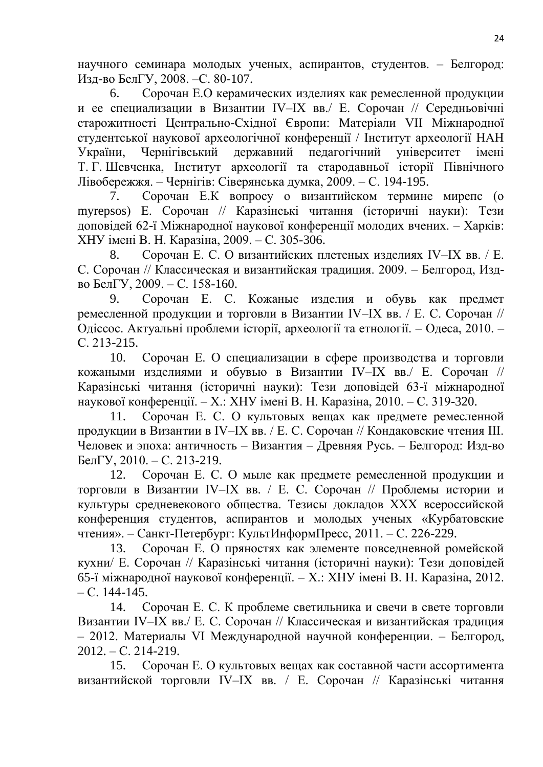научного семинара молодых ученых, аспирантов, студентов. – Белгород: Изд-во БелГУ, 2008. –С. 80-107.

6. Сорочан Е.О керамических изделиях как ремесленной продукции и ее специализации в Византии IV–IX вв./ Е. Сорочан // Середньовічні старожитності Центрально-Східної Європи: Матеріали VII Міжнародної студентської наукової археологічної конференції / Інститут археології НАН України, Чернігівський державний педагогічний університет імені Т. Г. Шевченка, Інститут археології та стародавньої історії Північного Лівобережжя. – Чернігів: Сіверянська думка, 2009. – С. 194-195.

7. Сорочан Е.К вопросу о византийском термине мирепс (o myrepsos) Е. Сорочан // Каразінські читання (історичні науки): Тези доповідей 62-ї Міжнародної наукової конференції молодих вчених. – Харків: ХНУ імені В. Н. Каразіна, 2009. – С. 305-306.

8. Сорочан Е. С. О византийских плетеных изделиях IV–IX вв. / Е. С. Сорочан // Классическая и византийская традиция. 2009. – Белгород, Издво БелГУ, 2009. – С. 158-160.

9. Сорочан Е. С. Кожаные изделия и обувь как предмет ремесленной продукции и торговли в Византии IV–IX вв. / Е. С. Сорочан // Одіссос. Актуальні проблеми історії, археології та етнології. – Одеса, 2010. – С. 213-215.

10. Сорочан Е. О специализации в сфере производства и торговли кожаными изделиями и обувью в Византии IV–IX вв./ Е. Сорочан // Каразінські читання (історичні науки): Тези доповідей 63-ї міжнародної наукової конференції. – Х.: ХНУ імені В. Н. Каразіна, 2010. – С. 319-320.

11. Сорочан Е. С. О культовых вещах как предмете ремесленной продукции в Византии в IV–IX вв. / Е. С. Сорочан // Кондаковские чтения III. Человек и эпоха: античность – Византия – Древняя Русь. – Белгород: Изд-во БелГУ, 2010. – С. 213-219.

12. Сорочан Е. С. О мыле как предмете ремесленной продукции и торговли в Византии IV–IX вв. / Е. С. Сорочан // Проблемы истории и культуры средневекового общества. Тезисы докладов ХХХ всероссийской конференция студентов, аспирантов и молодых ученых «Курбатовские чтения». – Санкт-Петербург: КультИнформПресс, 2011. – С. 226-229.

13. Сорочан Е. О пряностях как элементе повседневной ромейской кухни/ Е. Сорочан // Каразінські читання (історичні науки): Тези доповідей 65-ї міжнародної наукової конференції. – Х.: ХНУ імені В. Н. Каразіна, 2012. – С. 144-145.

14. Сорочан Е. С. К проблеме светильника и свечи в свете торговли Византии IV–IX вв./ Е. С. Сорочан // Классическая и византийская традиция – 2012. Материалы VI Международной научной конференции. – Белгород,  $2012. - C. 214-219.$ 

15. Сорочан Е. О культовых вещах как составной части ассортимента византийской торговли IV–IX вв. / Е. Сорочан // Каразінські читання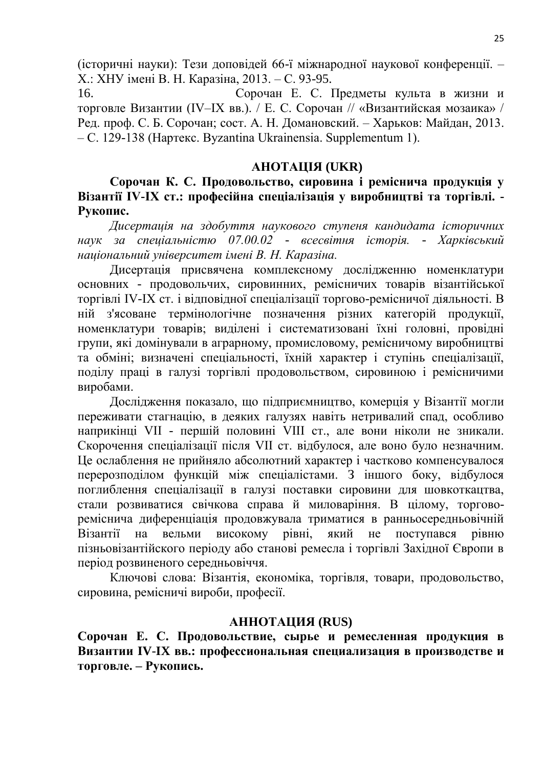(історичні науки): Тези доповідей 66-ї міжнародної наукової конференції. – Х.: ХНУ імені В. Н. Каразіна, 2013. – С. 93-95.

16. Сорочан Е. С. Предметы культа в жизни и торговле Византии (IV–IX вв.). / Е. С. Сорочан // «Византийская мозаика» / Ред. проф. С. Б. Сорочан; сост. А. Н. Домановский. – Харьков: Майдан, 2013. – С. 129-138 (Нартекс. Byzantina Ukrainensia. Supplementum 1).

#### **АНОТАЦІЯ (UKR)**

**Сорочан К. С. Продовольство, сировина і реміснича продукція у Візантії IV-IX ст.: професійна спеціалізація у виробництві та торгівлі. - Рукопис.**

*Дисертація на здобуття наукового ступеня кандидата історичних наук за спеціальністю 07.00.02 - всесвітня історія. - Харківський національний університет імені В. Н. Каразіна.*

Дисертація присвячена комплексному дослідженню номенклатури основних - продовольчих, сировинних, ремісничих товарів візантійської торгівлі IV-IX ст. і відповідної спеціалізації торгово-ремісничої діяльності. В ній з'ясоване термінологічне позначення різних категорій продукції, номенклатури товарів; виділені і систематизовані їхні головні, провідні групи, які домінували в аграрному, промисловому, ремісничому виробництві та обміні; визначені спеціальності, їхній характер і ступінь спеціалізації, поділу праці в галузі торгівлі продовольством, сировиною і ремісничими виробами.

Дослідження показало, що підприємництво, комерція у Візантії могли переживати стагнацію, в деяких галузях навіть нетривалий спад, особливо наприкінці VII - першій половині VIII ст., але вони ніколи не зникали. Скорочення спеціалізації після VII ст. відбулося, але воно було незначним. Це ослаблення не прийняло абсолютний характер і частково компенсувалося перерозподілом функцій між спеціалістами. З іншого боку, відбулося поглиблення спеціалізації в галузі поставки сировини для шовкоткацтва, стали розвиватися свічкова справа й миловаріння. В цілому, торговореміснича диференціація продовжувала триматися в ранньосередньовічній Візантії на вельми високому рівні, який не поступався рівню пізньовізантійского періоду або станові ремесла і торгівлі Західної Європи в період розвиненого середньовіччя.

Ключові слова: Візантія, економіка, торгівля, товари, продовольство, сировина, ремісничі вироби, професії.

#### **АННОТАЦИЯ (RUS)**

**Сорочан Е. С. Продовольствие, сырье и ремесленная продукция в Византии IV**-**IX вв.: профессиональная специализация в производстве и торговле. – Рукопись.**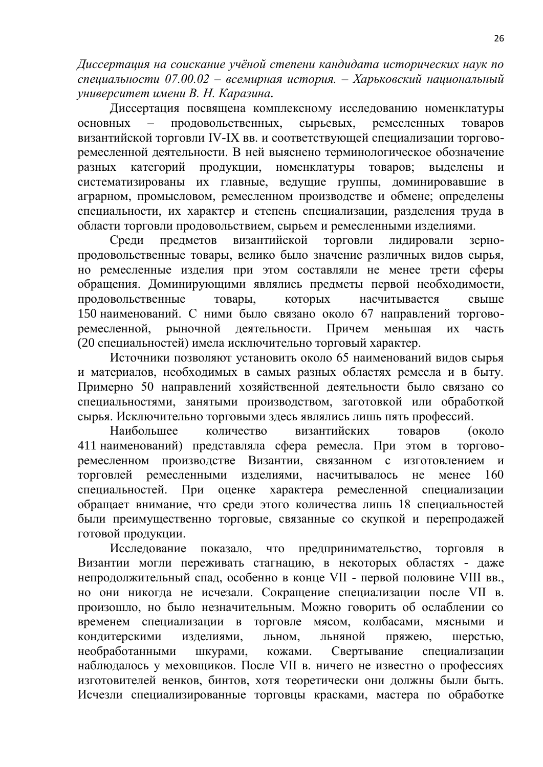*Диссертация на соискание учёной степени кандидата исторических наук по специальности 07.00.02 – всемирная история. – Харьковский национальный университет имени В. Н. Каразина.*

Диссертация посвящена комплексному исследованию номенклатуры основных – продовольственных, сырьевых, ремесленных товаров византийской торговли IV-IX вв. и соответствующей специализации торговоремесленной деятельности. В ней выяснено терминологическое обозначение разных категорий продукции, номенклатуры товаров; выделены и систематизированы их главные, ведущие группы, доминировавшие в аграрном, промысловом, ремесленном производстве и обмене; определены специальности, их характер и степень специализации, разделения труда в области торговли продовольствием, сырьем и ремесленными изделиями.

Среди предметов византийской торговли лидировали зернопродовольственные товары, велико было значение различных видов сырья, но ремесленные изделия при этом составляли не менее трети сферы обращения. Доминирующими являлись предметы первой необходимости, продовольственные товары, которых насчитывается свыше 150 наименований. С ними было связано около 67 направлений торговоремесленной, рыночной деятельности. Причем меньшая их часть (20 специальностей) имела исключительно торговый характер.

Источники позволяют установить около 65 наименований видов сырья и материалов, необходимых в самых разных областях ремесла и в быту. Примерно 50 направлений хозяйственной деятельности было связано со специальностями, занятыми производством, заготовкой или обработкой сырья. Исключительно торговыми здесь являлись лишь пять профессий.

Наибольшее количество византийских товаров (около 411 наименований) представляла сфера ремесла. При этом в торговоремесленном производстве Византии, связанном с изготовлением и торговлей ремесленными изделиями, насчитывалось не менее 160 специальностей. При оценке характера ремесленной специализации обращает внимание, что среди этого количества лишь 18 специальностей были преимущественно торговые, связанные со скупкой и перепродажей готовой продукции.

Исследование показало, что предпринимательство, торговля в Византии могли переживать стагнацию, в некоторых областях - даже непродолжительный спад, особенно в конце VII - первой половине VIII вв., но они никогда не исчезали. Сокращение специализации после VII в. произошло, но было незначительным. Можно говорить об ослаблении со временем специализации в торговле мясом, колбасами, мясными и кондитерскими изделиями, льном, льняной пряжею, шерстью, необработанными шкурами, кожами. Свертывание специализации наблюдалось у меховщиков. После VII в. ничего не известно о профессиях изготовителей венков, бинтов, хотя теоретически они должны были быть. Исчезли специализированные торговцы красками, мастера по обработке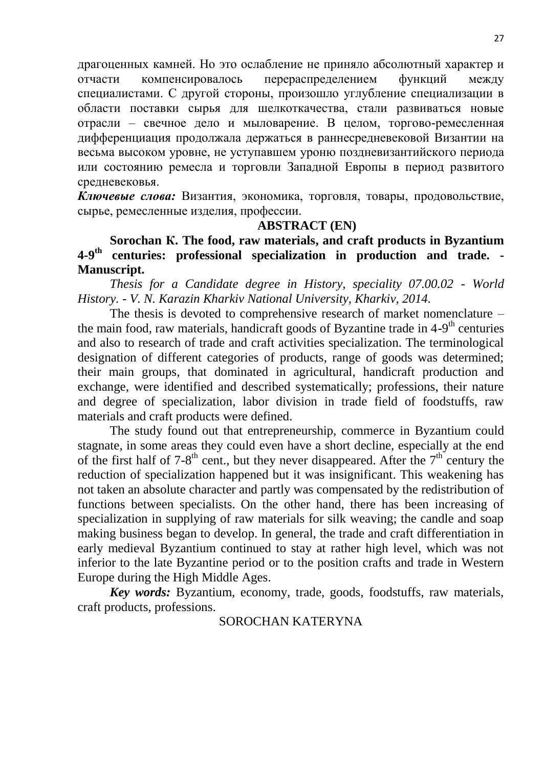драгоценных камней. Но это ослабление не приняло абсолютный характер и отчасти компенсировалось перераспределением функций между специалистами. С другой стороны, произошло углубление специализации в области поставки сырья для шелкоткачества, стали развиваться новые отрасли – свечное дело и мыловарение. В целом, торгово-ремесленная дифференциация продолжала держаться в раннесредневековой Византии на весьма высоком уровне, не уступавшем уроню поздневизантийского периода или состоянию ремесла и торговли Западной Европы в период развитого средневековья.

*Ключевые слова:* Византия, экономика, торговля, товары, продовольствие, сырье, ремесленные изделия, профессии.

#### **ABSTRACT (EN)**

**Sorochan К. The food, raw materials, and craft products in Byzantium 4-9 th centuries: professional specialization in production and trade. - Manuscript.**

*Thesis for a Candidate degree in History, speciality 07.00.02 - World History. - V. N. Karazin Kharkiv National University, Kharkiv, 2014.*

The thesis is devoted to comprehensive research of market nomenclature – the main food, raw materials, handicraft goods of Byzantine trade in 4-9<sup>th</sup> centuries and also to research of trade and craft activities specialization. The terminological designation of different categories of products, range of goods was determined; their main groups, that dominated in agricultural, handicraft production and exchange, were identified and described systematically; professions, their nature and degree of specialization, labor division in trade field of foodstuffs, raw materials and craft products were defined.

The study found out that entrepreneurship, commerce in Byzantium could stagnate, in some areas they could even have a short decline, especially at the end of the first half of  $7{\text -}8^{\text{th}}$  cent., but they never disappeared. After the  $7^{\text{th}}$  century the reduction of specialization happened but it was insignificant. This weakening has not taken an absolute character and partly was compensated by the redistribution of functions between specialists. On the other hand, there has been increasing of specialization in supplying of raw materials for silk weaving; the candle and soap making business began to develop. In general, the trade and craft differentiation in early medieval Byzantium continued to stay at rather high level, which was not inferior to the late Byzantine period or to the position crafts and trade in Western Europe during the High Middle Ages.

*Key words:* Byzantium, economy, trade, goods, foodstuffs, raw materials, craft products, professions.

#### SOROCHAN KATERYNA